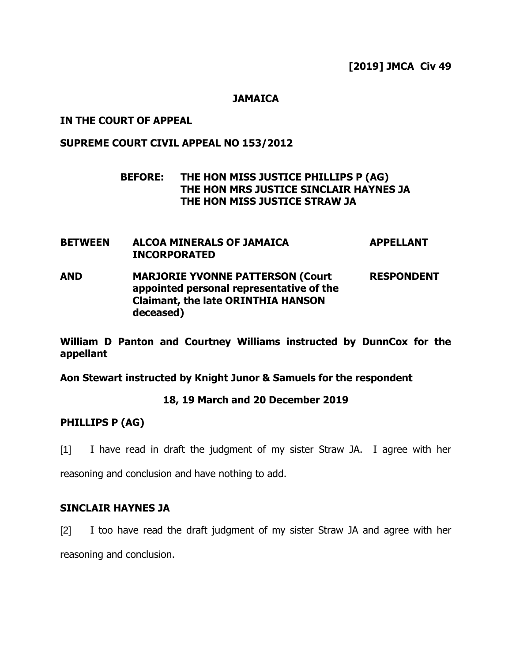**[2019] JMCA Civ 49**

### **JAMAICA**

## **IN THE COURT OF APPEAL**

## **SUPREME COURT CIVIL APPEAL NO 153/2012**

# **BEFORE: THE HON MISS JUSTICE PHILLIPS P (AG) THE HON MRS JUSTICE SINCLAIR HAYNES JA THE HON MISS JUSTICE STRAW JA**

- **BETWEEN ALCOA MINERALS OF JAMAICA INCORPORATED APPELLANT AND MARJORIE YVONNE PATTERSON (Court RESPONDENT**
- **appointed personal representative of the Claimant, the late ORINTHIA HANSON deceased)**

**William D Panton and Courtney Williams instructed by DunnCox for the appellant**

**Aon Stewart instructed by Knight Junor & Samuels for the respondent**

## **18, 19 March and 20 December 2019**

## **PHILLIPS P (AG)**

[1] I have read in draft the judgment of my sister Straw JA. I agree with her

reasoning and conclusion and have nothing to add.

# **SINCLAIR HAYNES JA**

[2] I too have read the draft judgment of my sister Straw JA and agree with her reasoning and conclusion.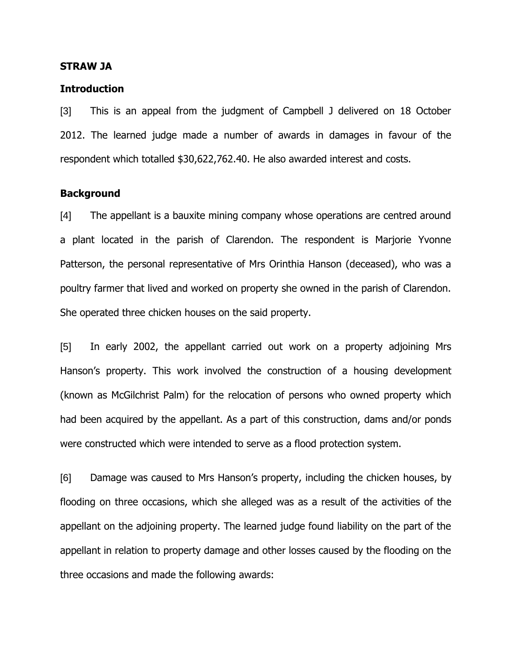#### **STRAW JA**

#### **Introduction**

[3] This is an appeal from the judgment of Campbell J delivered on 18 October 2012. The learned judge made a number of awards in damages in favour of the respondent which totalled \$30,622,762.40. He also awarded interest and costs.

## **Background**

[4] The appellant is a bauxite mining company whose operations are centred around a plant located in the parish of Clarendon. The respondent is Marjorie Yvonne Patterson, the personal representative of Mrs Orinthia Hanson (deceased), who was a poultry farmer that lived and worked on property she owned in the parish of Clarendon. She operated three chicken houses on the said property.

[5] In early 2002, the appellant carried out work on a property adjoining Mrs Hanson's property. This work involved the construction of a housing development (known as McGilchrist Palm) for the relocation of persons who owned property which had been acquired by the appellant. As a part of this construction, dams and/or ponds were constructed which were intended to serve as a flood protection system.

[6] Damage was caused to Mrs Hanson's property, including the chicken houses, by flooding on three occasions, which she alleged was as a result of the activities of the appellant on the adjoining property. The learned judge found liability on the part of the appellant in relation to property damage and other losses caused by the flooding on the three occasions and made the following awards: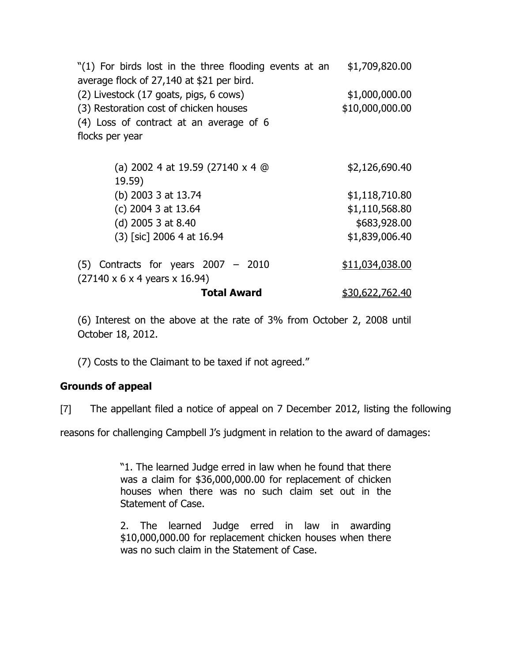"(1) For birds lost in the three flooding events at an average flock of 27,140 at \$21 per bird. \$1,709,820.00 (2) Livestock (17 goats, pigs, 6 cows) \$1,000,000.00  $(3)$  Restoration cost of chicken houses  $$10,000,000.00$ (4) Loss of contract at an average of 6 flocks per year (a) 2002 4 at 19.59 (27140 x 4 @ 19.59) \$2,126,690.40 (b) 2003 3 at 13.74 \$1,118,710.80 (c) 2004 3 at 13.64 \$1,110,568.80 (d) 2005 3 at 8.40 \$683,928.00 (3) [sic] 2006 4 at 16.94 \$1,839,006.40 (5) Contracts for years 2007 – 2010 (27140 x 6 x 4 years x 16.94) \$11,034,038.00 **Total Award** \$30,622,762.40

(6) Interest on the above at the rate of 3% from October 2, 2008 until October 18, 2012.

(7) Costs to the Claimant to be taxed if not agreed."

## **Grounds of appeal**

[7] The appellant filed a notice of appeal on 7 December 2012, listing the following

reasons for challenging Campbell J's judgment in relation to the award of damages:

"1. The learned Judge erred in law when he found that there was a claim for \$36,000,000.00 for replacement of chicken houses when there was no such claim set out in the Statement of Case.

2. The learned Judge erred in law in awarding \$10,000,000.00 for replacement chicken houses when there was no such claim in the Statement of Case.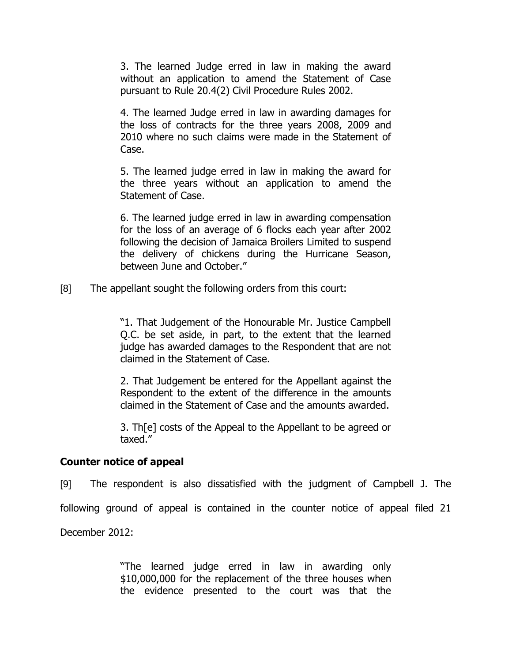3. The learned Judge erred in law in making the award without an application to amend the Statement of Case pursuant to Rule 20.4(2) Civil Procedure Rules 2002.

4. The learned Judge erred in law in awarding damages for the loss of contracts for the three years 2008, 2009 and 2010 where no such claims were made in the Statement of Case.

5. The learned judge erred in law in making the award for the three years without an application to amend the Statement of Case.

6. The learned judge erred in law in awarding compensation for the loss of an average of 6 flocks each year after 2002 following the decision of Jamaica Broilers Limited to suspend the delivery of chickens during the Hurricane Season, between June and October."

[8] The appellant sought the following orders from this court:

"1. That Judgement of the Honourable Mr. Justice Campbell Q.C. be set aside, in part, to the extent that the learned judge has awarded damages to the Respondent that are not claimed in the Statement of Case.

2. That Judgement be entered for the Appellant against the Respondent to the extent of the difference in the amounts claimed in the Statement of Case and the amounts awarded.

3. Th[e] costs of the Appeal to the Appellant to be agreed or taxed."

# **Counter notice of appeal**

[9] The respondent is also dissatisfied with the judgment of Campbell J. The

following ground of appeal is contained in the counter notice of appeal filed 21

December 2012:

"The learned judge erred in law in awarding only \$10,000,000 for the replacement of the three houses when the evidence presented to the court was that the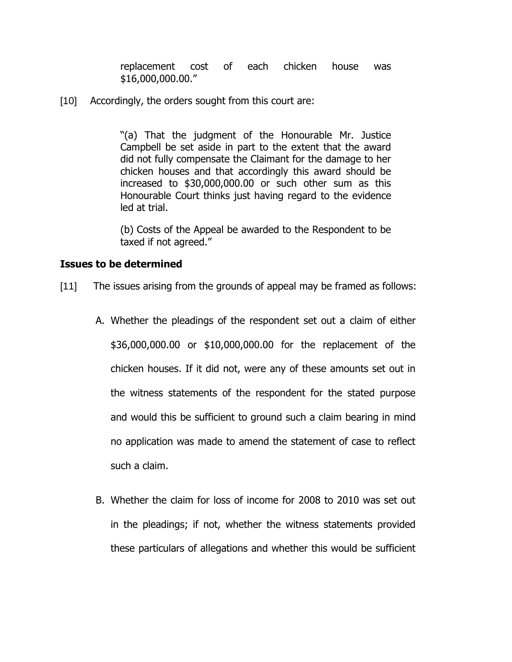replacement cost of each chicken house was \$16,000,000.00."

[10] Accordingly, the orders sought from this court are:

"(a) That the judgment of the Honourable Mr. Justice Campbell be set aside in part to the extent that the award did not fully compensate the Claimant for the damage to her chicken houses and that accordingly this award should be increased to \$30,000,000.00 or such other sum as this Honourable Court thinks just having regard to the evidence led at trial.

(b) Costs of the Appeal be awarded to the Respondent to be taxed if not agreed."

## **Issues to be determined**

- [11] The issues arising from the grounds of appeal may be framed as follows:
	- A. Whether the pleadings of the respondent set out a claim of either \$36,000,000.00 or \$10,000,000.00 for the replacement of the chicken houses. If it did not, were any of these amounts set out in the witness statements of the respondent for the stated purpose and would this be sufficient to ground such a claim bearing in mind no application was made to amend the statement of case to reflect such a claim.
	- B. Whether the claim for loss of income for 2008 to 2010 was set out in the pleadings; if not, whether the witness statements provided these particulars of allegations and whether this would be sufficient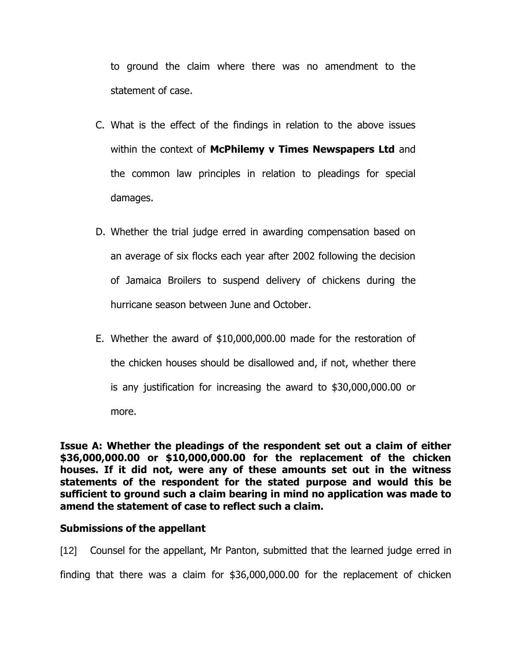to ground the claim where there was no amendment to the statement of case.

- C. What is the effect of the findings in relation to the above issues within the context of **McPhilemy v Times Newspapers Ltd** and the common law principles in relation to pleadings for special damages.
- D. Whether the trial judge erred in awarding compensation based on an average of six flocks each year after 2002 following the decision of Jamaica Broilers to suspend delivery of chickens during the hurricane season between June and October.
- E. Whether the award of \$10,000,000.00 made for the restoration of the chicken houses should be disallowed and, if not, whether there is any justification for increasing the award to \$30,000,000.00 or more.

**Issue A: Whether the pleadings of the respondent set out a claim of either \$36,000,000.00 or \$10,000,000.00 for the replacement of the chicken houses. If it did not, were any of these amounts set out in the witness statements of the respondent for the stated purpose and would this be sufficient to ground such a claim bearing in mind no application was made to amend the statement of case to reflect such a claim.**

## **Submissions of the appellant**

[12] Counsel for the appellant, Mr Panton, submitted that the learned judge erred in finding that there was a claim for \$36,000,000.00 for the replacement of chicken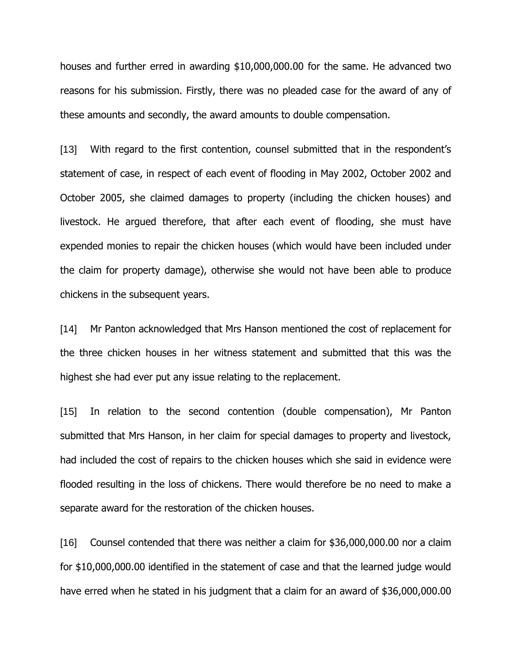houses and further erred in awarding \$10,000,000.00 for the same. He advanced two reasons for his submission. Firstly, there was no pleaded case for the award of any of these amounts and secondly, the award amounts to double compensation.

[13] With regard to the first contention, counsel submitted that in the respondent's statement of case, in respect of each event of flooding in May 2002, October 2002 and October 2005, she claimed damages to property (including the chicken houses) and livestock. He argued therefore, that after each event of flooding, she must have expended monies to repair the chicken houses (which would have been included under the claim for property damage), otherwise she would not have been able to produce chickens in the subsequent years.

[14] Mr Panton acknowledged that Mrs Hanson mentioned the cost of replacement for the three chicken houses in her witness statement and submitted that this was the highest she had ever put any issue relating to the replacement.

[15] In relation to the second contention (double compensation), Mr Panton submitted that Mrs Hanson, in her claim for special damages to property and livestock, had included the cost of repairs to the chicken houses which she said in evidence were flooded resulting in the loss of chickens. There would therefore be no need to make a separate award for the restoration of the chicken houses.

[16] Counsel contended that there was neither a claim for \$36,000,000.00 nor a claim for \$10,000,000.00 identified in the statement of case and that the learned judge would have erred when he stated in his judgment that a claim for an award of \$36,000,000.00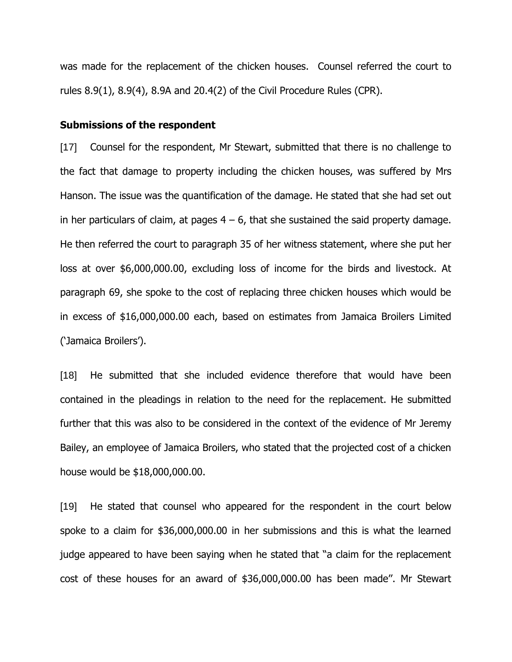was made for the replacement of the chicken houses. Counsel referred the court to rules 8.9(1), 8.9(4), 8.9A and 20.4(2) of the Civil Procedure Rules (CPR).

#### **Submissions of the respondent**

[17] Counsel for the respondent, Mr Stewart, submitted that there is no challenge to the fact that damage to property including the chicken houses, was suffered by Mrs Hanson. The issue was the quantification of the damage. He stated that she had set out in her particulars of claim, at pages  $4 - 6$ , that she sustained the said property damage. He then referred the court to paragraph 35 of her witness statement, where she put her loss at over \$6,000,000.00, excluding loss of income for the birds and livestock. At paragraph 69, she spoke to the cost of replacing three chicken houses which would be in excess of \$16,000,000.00 each, based on estimates from Jamaica Broilers Limited ('Jamaica Broilers').

[18] He submitted that she included evidence therefore that would have been contained in the pleadings in relation to the need for the replacement. He submitted further that this was also to be considered in the context of the evidence of Mr Jeremy Bailey, an employee of Jamaica Broilers, who stated that the projected cost of a chicken house would be \$18,000,000.00.

[19] He stated that counsel who appeared for the respondent in the court below spoke to a claim for \$36,000,000.00 in her submissions and this is what the learned judge appeared to have been saying when he stated that "a claim for the replacement cost of these houses for an award of \$36,000,000.00 has been made''. Mr Stewart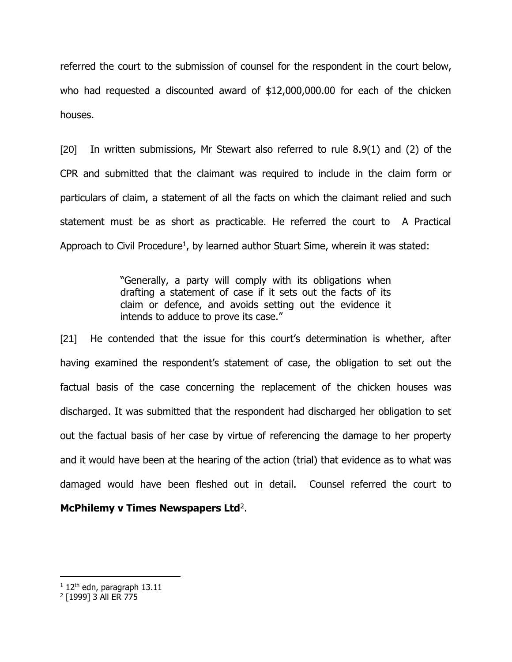referred the court to the submission of counsel for the respondent in the court below, who had requested a discounted award of \$12,000,000.00 for each of the chicken houses.

[20] In written submissions, Mr Stewart also referred to rule 8.9(1) and (2) of the CPR and submitted that the claimant was required to include in the claim form or particulars of claim, a statement of all the facts on which the claimant relied and such statement must be as short as practicable. He referred the court to A Practical Approach to Civil Procedure<sup>1</sup>, by learned author Stuart Sime, wherein it was stated:

> "Generally, a party will comply with its obligations when drafting a statement of case if it sets out the facts of its claim or defence, and avoids setting out the evidence it intends to adduce to prove its case."

[21] He contended that the issue for this court's determination is whether, after having examined the respondent's statement of case, the obligation to set out the factual basis of the case concerning the replacement of the chicken houses was discharged. It was submitted that the respondent had discharged her obligation to set out the factual basis of her case by virtue of referencing the damage to her property and it would have been at the hearing of the action (trial) that evidence as to what was damaged would have been fleshed out in detail. Counsel referred the court to McPhilemy v Times Newspapers Ltd<sup>2</sup>.

 $1$  12<sup>th</sup> edn, paragraph 13.11

<sup>2</sup> [1999] 3 All ER 775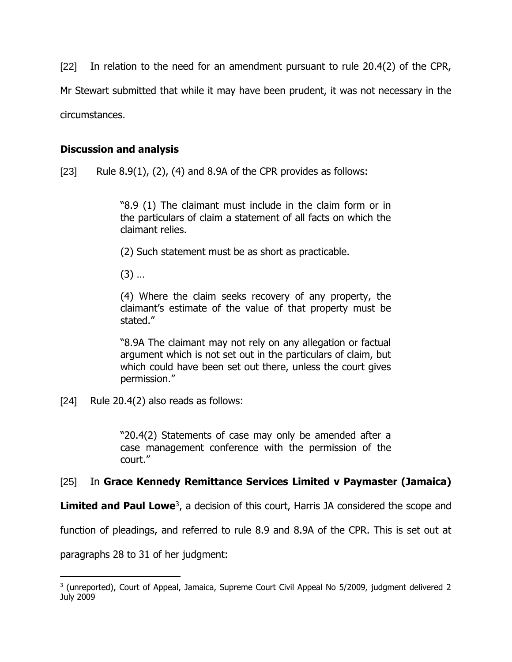[22] In relation to the need for an amendment pursuant to rule 20.4(2) of the CPR, Mr Stewart submitted that while it may have been prudent, it was not necessary in the circumstances.

## **Discussion and analysis**

[23] Rule  $8.9(1)$ ,  $(2)$ ,  $(4)$  and  $8.9A$  of the CPR provides as follows:

"8.9 (1) The claimant must include in the claim form or in the particulars of claim a statement of all facts on which the claimant relies.

(2) Such statement must be as short as practicable.

(3) …

(4) Where the claim seeks recovery of any property, the claimant's estimate of the value of that property must be stated."

"8.9A The claimant may not rely on any allegation or factual argument which is not set out in the particulars of claim, but which could have been set out there, unless the court gives permission."

[24] Rule 20.4(2) also reads as follows:

"20.4(2) Statements of case may only be amended after a case management conference with the permission of the court."

# [25] In **Grace Kennedy Remittance Services Limited v Paymaster (Jamaica)**

Limited and Paul Lowe<sup>3</sup>, a decision of this court, Harris JA considered the scope and

function of pleadings, and referred to rule 8.9 and 8.9A of the CPR. This is set out at

paragraphs 28 to 31 of her judgment:

<sup>&</sup>lt;sup>3</sup> (unreported), Court of Appeal, Jamaica, Supreme Court Civil Appeal No 5/2009, judgment delivered 2 July 2009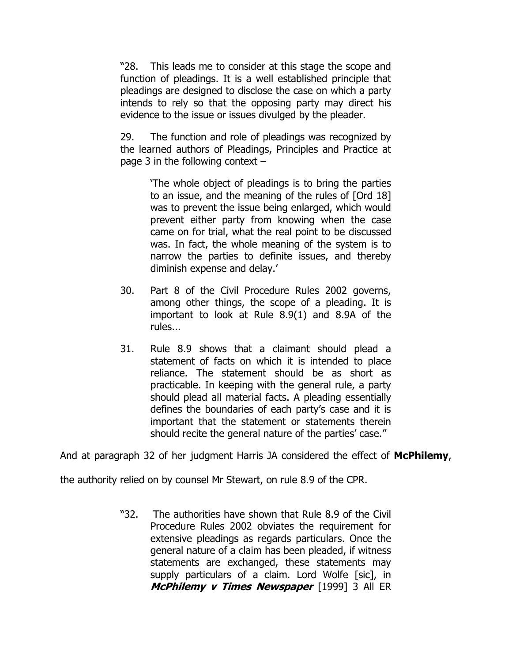"28. This leads me to consider at this stage the scope and function of pleadings. It is a well established principle that pleadings are designed to disclose the case on which a party intends to rely so that the opposing party may direct his evidence to the issue or issues divulged by the pleader.

29. The function and role of pleadings was recognized by the learned authors of Pleadings, Principles and Practice at page 3 in the following context –

> 'The whole object of pleadings is to bring the parties to an issue, and the meaning of the rules of [Ord 18] was to prevent the issue being enlarged, which would prevent either party from knowing when the case came on for trial, what the real point to be discussed was. In fact, the whole meaning of the system is to narrow the parties to definite issues, and thereby diminish expense and delay.'

- 30. Part 8 of the Civil Procedure Rules 2002 governs, among other things, the scope of a pleading. It is important to look at Rule 8.9(1) and 8.9A of the rules...
- 31. Rule 8.9 shows that a claimant should plead a statement of facts on which it is intended to place reliance. The statement should be as short as practicable. In keeping with the general rule, a party should plead all material facts. A pleading essentially defines the boundaries of each party's case and it is important that the statement or statements therein should recite the general nature of the parties' case."

And at paragraph 32 of her judgment Harris JA considered the effect of **McPhilemy**,

the authority relied on by counsel Mr Stewart, on rule 8.9 of the CPR.

"32. The authorities have shown that Rule 8.9 of the Civil Procedure Rules 2002 obviates the requirement for extensive pleadings as regards particulars. Once the general nature of a claim has been pleaded, if witness statements are exchanged, these statements may supply particulars of a claim. Lord Wolfe [sic], in **McPhilemy v Times Newspaper** [1999] 3 All ER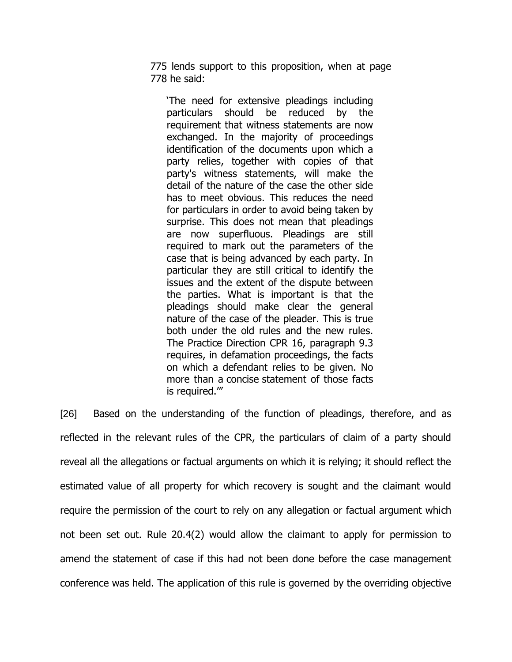775 lends support to this proposition, when at page 778 he said:

'The need for extensive pleadings including particulars should be reduced by the requirement that witness statements are now exchanged. In the majority of proceedings identification of the documents upon which a party relies, together with copies of that party's witness statements, will make the detail of the nature of the case the other side has to meet obvious. This reduces the need for particulars in order to avoid being taken by surprise. This does not mean that pleadings are now superfluous. Pleadings are still required to mark out the parameters of the case that is being advanced by each party. In particular they are still critical to identify the issues and the extent of the dispute between the parties. What is important is that the pleadings should make clear the general nature of the case of the pleader. This is true both under the old rules and the new rules. The Practice Direction CPR 16, paragraph 9.3 requires, in defamation proceedings, the facts on which a defendant relies to be given. No more than a concise statement of those facts is required.'"

[26] Based on the understanding of the function of pleadings, therefore, and as reflected in the relevant rules of the CPR, the particulars of claim of a party should reveal all the allegations or factual arguments on which it is relying; it should reflect the estimated value of all property for which recovery is sought and the claimant would require the permission of the court to rely on any allegation or factual argument which not been set out. Rule 20.4(2) would allow the claimant to apply for permission to amend the statement of case if this had not been done before the case management conference was held. The application of this rule is governed by the overriding objective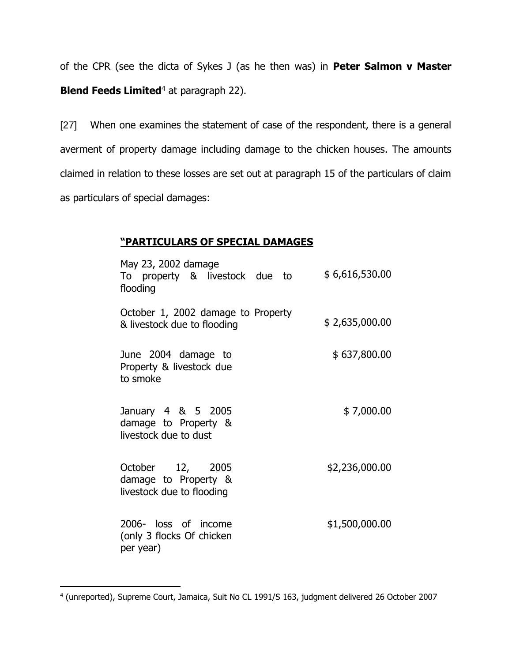of the CPR (see the dicta of Sykes J (as he then was) in **Peter Salmon v Master Blend Feeds Limited<sup>4</sup> at paragraph 22).** 

[27] When one examines the statement of case of the respondent, there is a general averment of property damage including damage to the chicken houses. The amounts claimed in relation to these losses are set out at paragraph 15 of the particulars of claim as particulars of special damages:

# **"PARTICULARS OF SPECIAL DAMAGES**

| May 23, 2002 damage<br>To property & livestock due to<br>flooding     | \$6,616,530.00 |
|-----------------------------------------------------------------------|----------------|
| October 1, 2002 damage to Property<br>& livestock due to flooding     | \$2,635,000.00 |
| June 2004 damage to<br>Property & livestock due<br>to smoke           | \$637,800.00   |
| January 4 & 5 2005<br>damage to Property &<br>livestock due to dust   | \$7,000.00     |
| October 12, 2005<br>damage to Property &<br>livestock due to flooding | \$2,236,000.00 |
| 2006- loss of income<br>(only 3 flocks Of chicken<br>per year)        | \$1,500,000.00 |

<sup>4</sup> (unreported), Supreme Court, Jamaica, Suit No CL 1991/S 163, judgment delivered 26 October 2007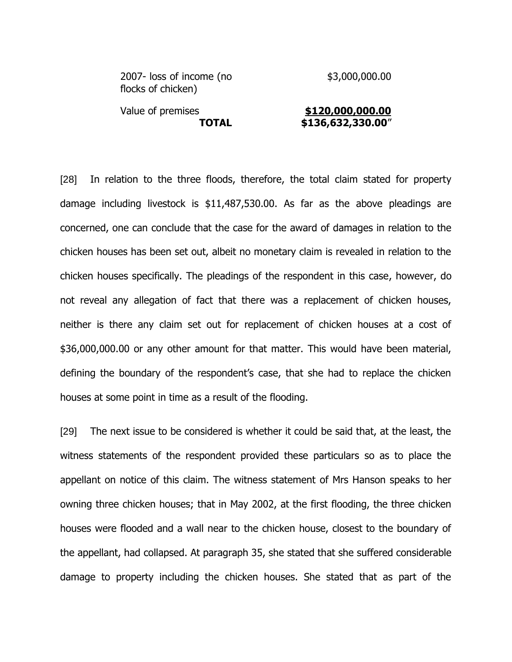| 2007- loss of income (no<br>flocks of chicken) | \$3,000,000.00    |
|------------------------------------------------|-------------------|
| Value of premises                              | \$120,000,000.00  |
| <b>TOTAL</b>                                   | \$136,632,330.00" |

[28] In relation to the three floods, therefore, the total claim stated for property damage including livestock is \$11,487,530.00. As far as the above pleadings are concerned, one can conclude that the case for the award of damages in relation to the chicken houses has been set out, albeit no monetary claim is revealed in relation to the chicken houses specifically. The pleadings of the respondent in this case, however, do not reveal any allegation of fact that there was a replacement of chicken houses, neither is there any claim set out for replacement of chicken houses at a cost of \$36,000,000.00 or any other amount for that matter. This would have been material, defining the boundary of the respondent's case, that she had to replace the chicken houses at some point in time as a result of the flooding.

[29] The next issue to be considered is whether it could be said that, at the least, the witness statements of the respondent provided these particulars so as to place the appellant on notice of this claim. The witness statement of Mrs Hanson speaks to her owning three chicken houses; that in May 2002, at the first flooding, the three chicken houses were flooded and a wall near to the chicken house, closest to the boundary of the appellant, had collapsed. At paragraph 35, she stated that she suffered considerable damage to property including the chicken houses. She stated that as part of the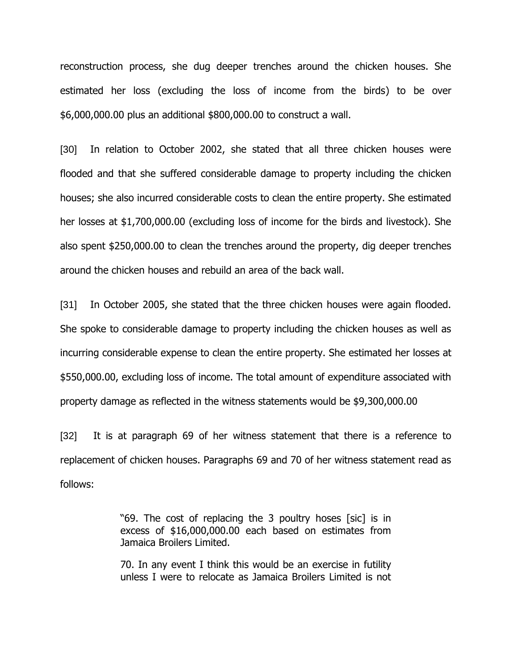reconstruction process, she dug deeper trenches around the chicken houses. She estimated her loss (excluding the loss of income from the birds) to be over \$6,000,000.00 plus an additional \$800,000.00 to construct a wall.

[30] In relation to October 2002, she stated that all three chicken houses were flooded and that she suffered considerable damage to property including the chicken houses; she also incurred considerable costs to clean the entire property. She estimated her losses at \$1,700,000.00 (excluding loss of income for the birds and livestock). She also spent \$250,000.00 to clean the trenches around the property, dig deeper trenches around the chicken houses and rebuild an area of the back wall.

[31] In October 2005, she stated that the three chicken houses were again flooded. She spoke to considerable damage to property including the chicken houses as well as incurring considerable expense to clean the entire property. She estimated her losses at \$550,000.00, excluding loss of income. The total amount of expenditure associated with property damage as reflected in the witness statements would be \$9,300,000.00

[32] It is at paragraph 69 of her witness statement that there is a reference to replacement of chicken houses. Paragraphs 69 and 70 of her witness statement read as follows:

> "69. The cost of replacing the 3 poultry hoses [sic] is in excess of \$16,000,000.00 each based on estimates from Jamaica Broilers Limited.

> 70. In any event I think this would be an exercise in futility unless I were to relocate as Jamaica Broilers Limited is not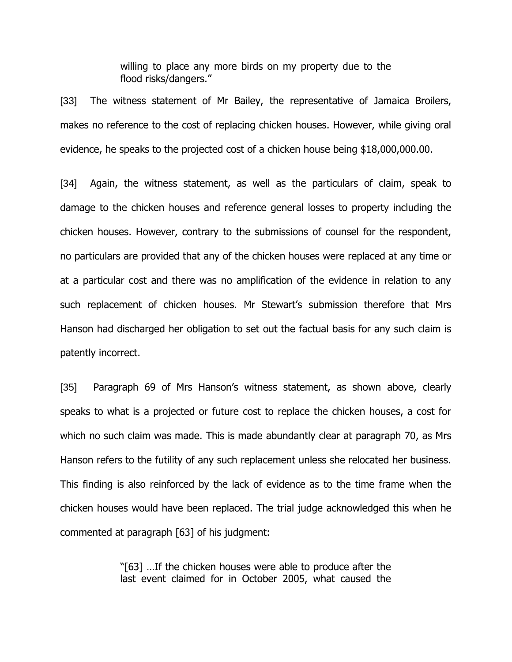willing to place any more birds on my property due to the flood risks/dangers."

[33] The witness statement of Mr Bailey, the representative of Jamaica Broilers, makes no reference to the cost of replacing chicken houses. However, while giving oral evidence, he speaks to the projected cost of a chicken house being \$18,000,000.00.

[34] Again, the witness statement, as well as the particulars of claim, speak to damage to the chicken houses and reference general losses to property including the chicken houses. However, contrary to the submissions of counsel for the respondent, no particulars are provided that any of the chicken houses were replaced at any time or at a particular cost and there was no amplification of the evidence in relation to any such replacement of chicken houses. Mr Stewart's submission therefore that Mrs Hanson had discharged her obligation to set out the factual basis for any such claim is patently incorrect.

[35] Paragraph 69 of Mrs Hanson's witness statement, as shown above, clearly speaks to what is a projected or future cost to replace the chicken houses, a cost for which no such claim was made. This is made abundantly clear at paragraph 70, as Mrs Hanson refers to the futility of any such replacement unless she relocated her business. This finding is also reinforced by the lack of evidence as to the time frame when the chicken houses would have been replaced. The trial judge acknowledged this when he commented at paragraph [63] of his judgment:

> "[63] …If the chicken houses were able to produce after the last event claimed for in October 2005, what caused the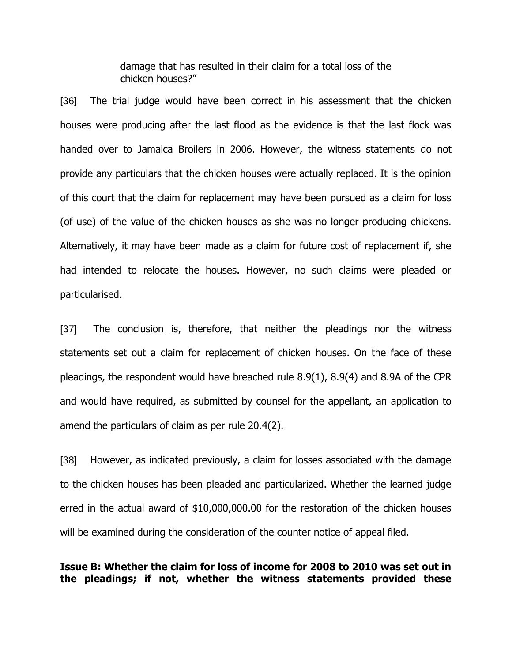damage that has resulted in their claim for a total loss of the chicken houses?"

[36] The trial judge would have been correct in his assessment that the chicken houses were producing after the last flood as the evidence is that the last flock was handed over to Jamaica Broilers in 2006. However, the witness statements do not provide any particulars that the chicken houses were actually replaced. It is the opinion of this court that the claim for replacement may have been pursued as a claim for loss (of use) of the value of the chicken houses as she was no longer producing chickens. Alternatively, it may have been made as a claim for future cost of replacement if, she had intended to relocate the houses. However, no such claims were pleaded or particularised.

[37] The conclusion is, therefore, that neither the pleadings nor the witness statements set out a claim for replacement of chicken houses. On the face of these pleadings, the respondent would have breached rule 8.9(1), 8.9(4) and 8.9A of the CPR and would have required, as submitted by counsel for the appellant, an application to amend the particulars of claim as per rule 20.4(2).

[38] However, as indicated previously, a claim for losses associated with the damage to the chicken houses has been pleaded and particularized. Whether the learned judge erred in the actual award of \$10,000,000.00 for the restoration of the chicken houses will be examined during the consideration of the counter notice of appeal filed.

**Issue B: Whether the claim for loss of income for 2008 to 2010 was set out in the pleadings; if not, whether the witness statements provided these**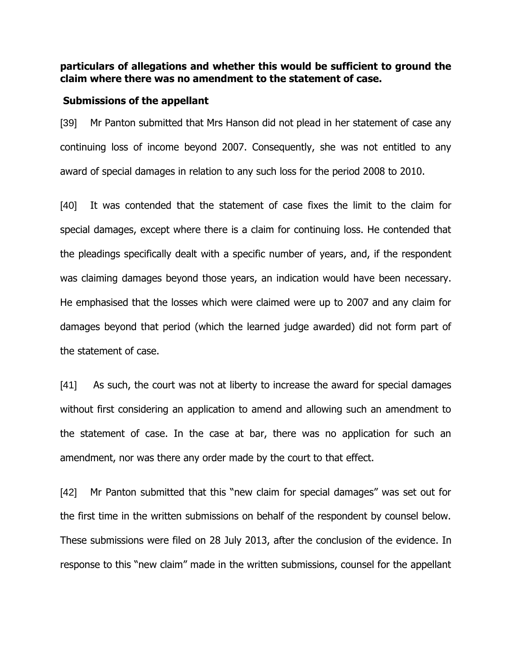## **particulars of allegations and whether this would be sufficient to ground the claim where there was no amendment to the statement of case.**

#### **Submissions of the appellant**

[39] Mr Panton submitted that Mrs Hanson did not plead in her statement of case any continuing loss of income beyond 2007. Consequently, she was not entitled to any award of special damages in relation to any such loss for the period 2008 to 2010.

[40] It was contended that the statement of case fixes the limit to the claim for special damages, except where there is a claim for continuing loss. He contended that the pleadings specifically dealt with a specific number of years, and, if the respondent was claiming damages beyond those years, an indication would have been necessary. He emphasised that the losses which were claimed were up to 2007 and any claim for damages beyond that period (which the learned judge awarded) did not form part of the statement of case.

[41] As such, the court was not at liberty to increase the award for special damages without first considering an application to amend and allowing such an amendment to the statement of case. In the case at bar, there was no application for such an amendment, nor was there any order made by the court to that effect.

[42] Mr Panton submitted that this "new claim for special damages" was set out for the first time in the written submissions on behalf of the respondent by counsel below. These submissions were filed on 28 July 2013, after the conclusion of the evidence. In response to this "new claim" made in the written submissions, counsel for the appellant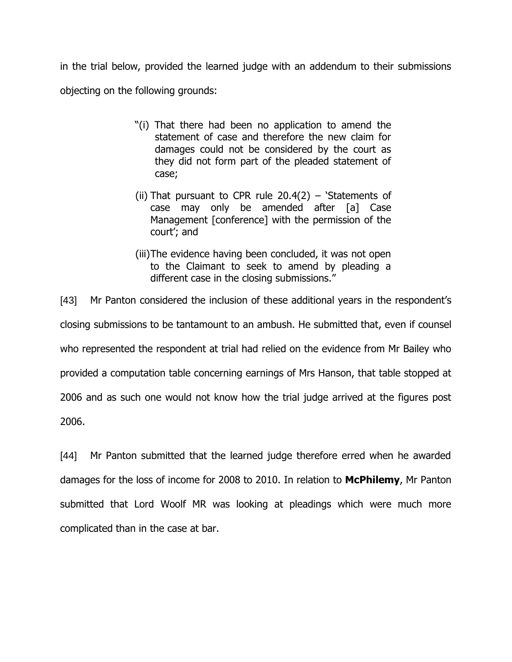in the trial below, provided the learned judge with an addendum to their submissions objecting on the following grounds:

- "(i) That there had been no application to amend the statement of case and therefore the new claim for damages could not be considered by the court as they did not form part of the pleaded statement of case;
- (ii) That pursuant to CPR rule  $20.4(2)$  'Statements of case may only be amended after [a] Case Management [conference] with the permission of the court'; and
- (iii)The evidence having been concluded, it was not open to the Claimant to seek to amend by pleading a different case in the closing submissions."

[43] Mr Panton considered the inclusion of these additional years in the respondent's closing submissions to be tantamount to an ambush. He submitted that, even if counsel who represented the respondent at trial had relied on the evidence from Mr Bailey who provided a computation table concerning earnings of Mrs Hanson, that table stopped at 2006 and as such one would not know how the trial judge arrived at the figures post 2006.

[44] Mr Panton submitted that the learned judge therefore erred when he awarded damages for the loss of income for 2008 to 2010. In relation to **McPhilemy**, Mr Panton submitted that Lord Woolf MR was looking at pleadings which were much more complicated than in the case at bar.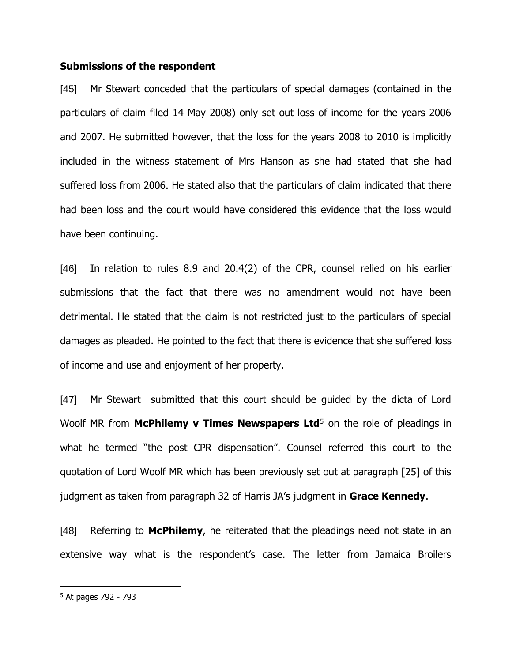#### **Submissions of the respondent**

[45] Mr Stewart conceded that the particulars of special damages (contained in the particulars of claim filed 14 May 2008) only set out loss of income for the years 2006 and 2007. He submitted however, that the loss for the years 2008 to 2010 is implicitly included in the witness statement of Mrs Hanson as she had stated that she had suffered loss from 2006. He stated also that the particulars of claim indicated that there had been loss and the court would have considered this evidence that the loss would have been continuing.

[46] In relation to rules 8.9 and 20.4(2) of the CPR, counsel relied on his earlier submissions that the fact that there was no amendment would not have been detrimental. He stated that the claim is not restricted just to the particulars of special damages as pleaded. He pointed to the fact that there is evidence that she suffered loss of income and use and enjoyment of her property.

[47] Mr Stewart submitted that this court should be guided by the dicta of Lord Woolf MR from McPhilemy v Times Newspapers Ltd<sup>5</sup> on the role of pleadings in what he termed "the post CPR dispensation". Counsel referred this court to the quotation of Lord Woolf MR which has been previously set out at paragraph [25] of this judgment as taken from paragraph 32 of Harris JA's judgment in **Grace Kennedy**.

[48] Referring to **McPhilemy**, he reiterated that the pleadings need not state in an extensive way what is the respondent's case. The letter from Jamaica Broilers

<sup>5</sup> At pages 792 - 793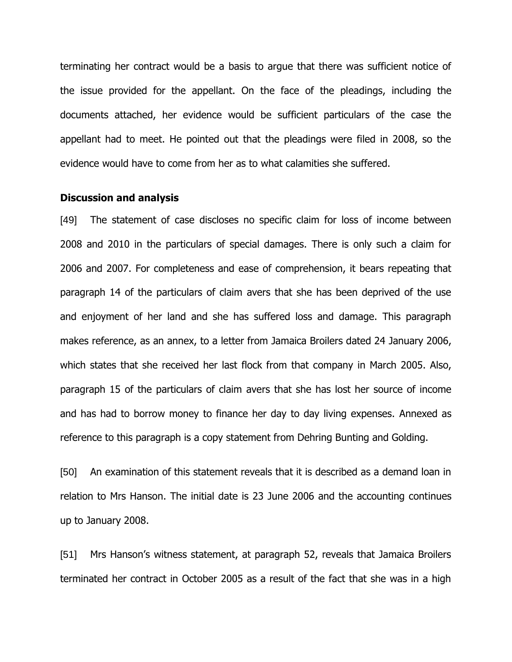terminating her contract would be a basis to argue that there was sufficient notice of the issue provided for the appellant. On the face of the pleadings, including the documents attached, her evidence would be sufficient particulars of the case the appellant had to meet. He pointed out that the pleadings were filed in 2008, so the evidence would have to come from her as to what calamities she suffered.

#### **Discussion and analysis**

[49] The statement of case discloses no specific claim for loss of income between 2008 and 2010 in the particulars of special damages. There is only such a claim for 2006 and 2007. For completeness and ease of comprehension, it bears repeating that paragraph 14 of the particulars of claim avers that she has been deprived of the use and enjoyment of her land and she has suffered loss and damage. This paragraph makes reference, as an annex, to a letter from Jamaica Broilers dated 24 January 2006, which states that she received her last flock from that company in March 2005. Also, paragraph 15 of the particulars of claim avers that she has lost her source of income and has had to borrow money to finance her day to day living expenses. Annexed as reference to this paragraph is a copy statement from Dehring Bunting and Golding.

[50] An examination of this statement reveals that it is described as a demand loan in relation to Mrs Hanson. The initial date is 23 June 2006 and the accounting continues up to January 2008.

[51] Mrs Hanson's witness statement, at paragraph 52, reveals that Jamaica Broilers terminated her contract in October 2005 as a result of the fact that she was in a high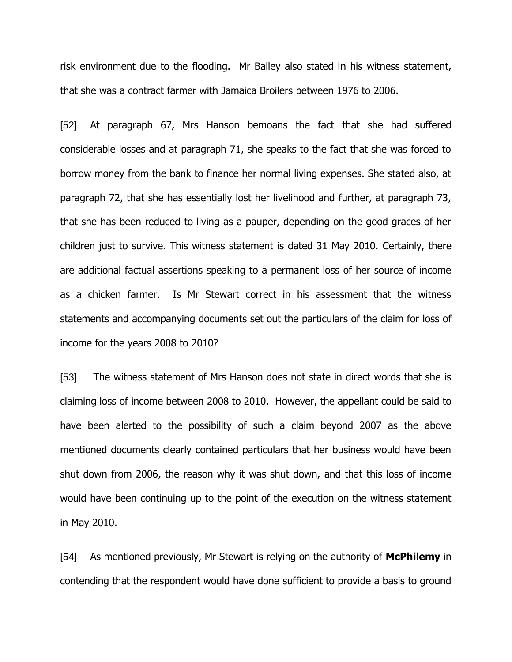risk environment due to the flooding. Mr Bailey also stated in his witness statement, that she was a contract farmer with Jamaica Broilers between 1976 to 2006.

[52] At paragraph 67, Mrs Hanson bemoans the fact that she had suffered considerable losses and at paragraph 71, she speaks to the fact that she was forced to borrow money from the bank to finance her normal living expenses. She stated also, at paragraph 72, that she has essentially lost her livelihood and further, at paragraph 73, that she has been reduced to living as a pauper, depending on the good graces of her children just to survive. This witness statement is dated 31 May 2010. Certainly, there are additional factual assertions speaking to a permanent loss of her source of income as a chicken farmer. Is Mr Stewart correct in his assessment that the witness statements and accompanying documents set out the particulars of the claim for loss of income for the years 2008 to 2010?

[53] The witness statement of Mrs Hanson does not state in direct words that she is claiming loss of income between 2008 to 2010. However, the appellant could be said to have been alerted to the possibility of such a claim beyond 2007 as the above mentioned documents clearly contained particulars that her business would have been shut down from 2006, the reason why it was shut down, and that this loss of income would have been continuing up to the point of the execution on the witness statement in May 2010.

[54] As mentioned previously, Mr Stewart is relying on the authority of **McPhilemy** in contending that the respondent would have done sufficient to provide a basis to ground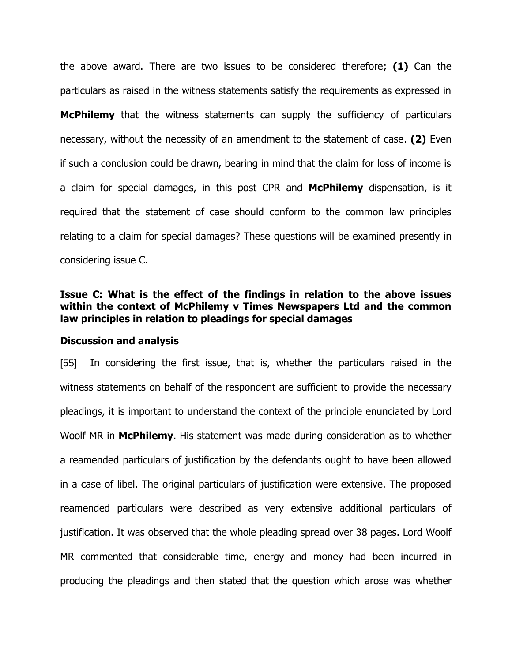the above award. There are two issues to be considered therefore; **(1)** Can the particulars as raised in the witness statements satisfy the requirements as expressed in **McPhilemy** that the witness statements can supply the sufficiency of particulars necessary, without the necessity of an amendment to the statement of case. **(2)** Even if such a conclusion could be drawn, bearing in mind that the claim for loss of income is a claim for special damages, in this post CPR and **McPhilemy** dispensation, is it required that the statement of case should conform to the common law principles relating to a claim for special damages? These questions will be examined presently in considering issue C.

## **Issue C: What is the effect of the findings in relation to the above issues within the context of McPhilemy v Times Newspapers Ltd and the common law principles in relation to pleadings for special damages**

#### **Discussion and analysis**

[55] In considering the first issue, that is, whether the particulars raised in the witness statements on behalf of the respondent are sufficient to provide the necessary pleadings, it is important to understand the context of the principle enunciated by Lord Woolf MR in **McPhilemy**. His statement was made during consideration as to whether a reamended particulars of justification by the defendants ought to have been allowed in a case of libel. The original particulars of justification were extensive. The proposed reamended particulars were described as very extensive additional particulars of justification. It was observed that the whole pleading spread over 38 pages. Lord Woolf MR commented that considerable time, energy and money had been incurred in producing the pleadings and then stated that the question which arose was whether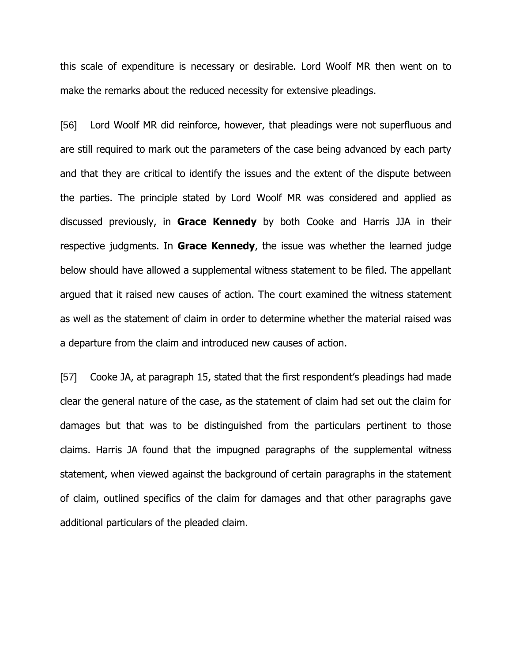this scale of expenditure is necessary or desirable. Lord Woolf MR then went on to make the remarks about the reduced necessity for extensive pleadings.

[56] Lord Woolf MR did reinforce, however, that pleadings were not superfluous and are still required to mark out the parameters of the case being advanced by each party and that they are critical to identify the issues and the extent of the dispute between the parties. The principle stated by Lord Woolf MR was considered and applied as discussed previously, in **Grace Kennedy** by both Cooke and Harris JJA in their respective judgments. In **Grace Kennedy**, the issue was whether the learned judge below should have allowed a supplemental witness statement to be filed. The appellant argued that it raised new causes of action. The court examined the witness statement as well as the statement of claim in order to determine whether the material raised was a departure from the claim and introduced new causes of action.

[57] Cooke JA, at paragraph 15, stated that the first respondent's pleadings had made clear the general nature of the case, as the statement of claim had set out the claim for damages but that was to be distinguished from the particulars pertinent to those claims. Harris JA found that the impugned paragraphs of the supplemental witness statement, when viewed against the background of certain paragraphs in the statement of claim, outlined specifics of the claim for damages and that other paragraphs gave additional particulars of the pleaded claim.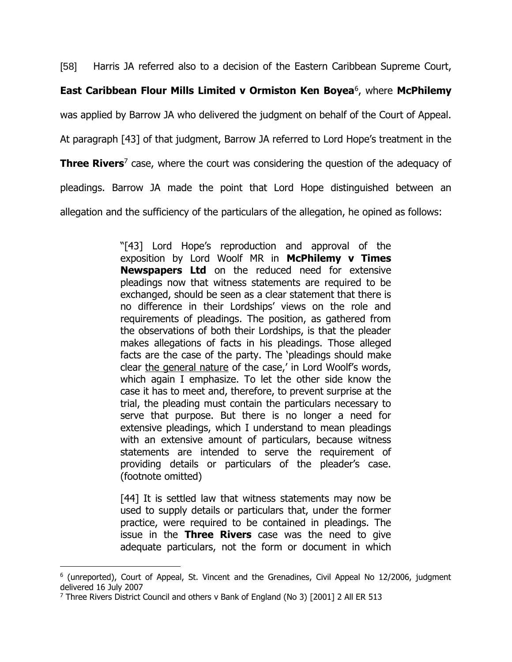[58] Harris JA referred also to a decision of the Eastern Caribbean Supreme Court,

## **East Caribbean Flour Mills Limited v Ormiston Ken Boyea**<sup>6</sup> , where **McPhilemy**

was applied by Barrow JA who delivered the judgment on behalf of the Court of Appeal.

At paragraph [43] of that judgment, Barrow JA referred to Lord Hope's treatment in the

**Three Rivers**<sup>7</sup> case, where the court was considering the question of the adequacy of

pleadings. Barrow JA made the point that Lord Hope distinguished between an

allegation and the sufficiency of the particulars of the allegation, he opined as follows:

"[43] Lord Hope's reproduction and approval of the exposition by Lord Woolf MR in **McPhilemy v Times Newspapers Ltd** on the reduced need for extensive pleadings now that witness statements are required to be exchanged, should be seen as a clear statement that there is no difference in their Lordships' views on the role and requirements of pleadings. The position, as gathered from the observations of both their Lordships, is that the pleader makes allegations of facts in his pleadings. Those alleged facts are the case of the party. The 'pleadings should make clear the general nature of the case,' in Lord Woolf's words, which again I emphasize. To let the other side know the case it has to meet and, therefore, to prevent surprise at the trial, the pleading must contain the particulars necessary to serve that purpose. But there is no longer a need for extensive pleadings, which I understand to mean pleadings with an extensive amount of particulars, because witness statements are intended to serve the requirement of providing details or particulars of the pleader's case. (footnote omitted)

[44] It is settled law that witness statements may now be used to supply details or particulars that, under the former practice, were required to be contained in pleadings. The issue in the **Three Rivers** case was the need to give adequate particulars, not the form or document in which

<sup>&</sup>lt;sup>6</sup> (unreported), Court of Appeal, St. Vincent and the Grenadines, Civil Appeal No 12/2006, judgment delivered 16 July 2007

<sup>&</sup>lt;sup>7</sup> Three Rivers District Council and others v Bank of England (No 3) [2001] 2 All ER 513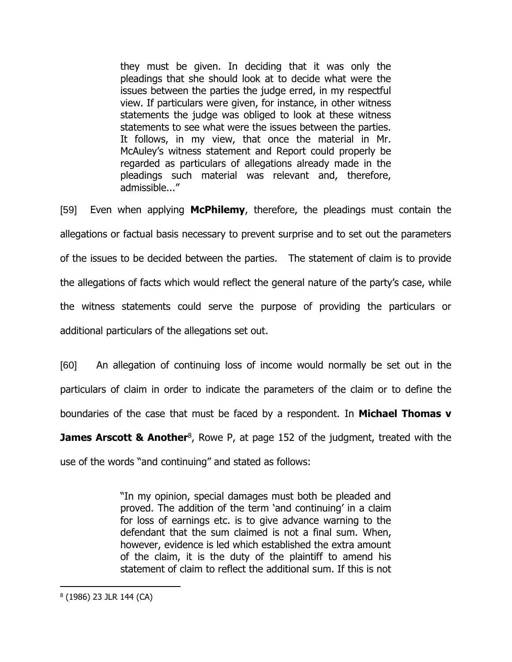they must be given. In deciding that it was only the pleadings that she should look at to decide what were the issues between the parties the judge erred, in my respectful view. If particulars were given, for instance, in other witness statements the judge was obliged to look at these witness statements to see what were the issues between the parties. It follows, in my view, that once the material in Mr. McAuley's witness statement and Report could properly be regarded as particulars of allegations already made in the pleadings such material was relevant and, therefore, admissible..."

[59] Even when applying **McPhilemy**, therefore, the pleadings must contain the allegations or factual basis necessary to prevent surprise and to set out the parameters of the issues to be decided between the parties. The statement of claim is to provide the allegations of facts which would reflect the general nature of the party's case, while the witness statements could serve the purpose of providing the particulars or additional particulars of the allegations set out.

[60] An allegation of continuing loss of income would normally be set out in the particulars of claim in order to indicate the parameters of the claim or to define the boundaries of the case that must be faced by a respondent. In **Michael Thomas v** 

**James Arscott & Another**<sup>8</sup>, Rowe P, at page 152 of the judgment, treated with the

use of the words "and continuing" and stated as follows:

"In my opinion, special damages must both be pleaded and proved. The addition of the term 'and continuing' in a claim for loss of earnings etc. is to give advance warning to the defendant that the sum claimed is not a final sum. When, however, evidence is led which established the extra amount of the claim, it is the duty of the plaintiff to amend his statement of claim to reflect the additional sum. If this is not

<sup>8</sup> (1986) 23 JLR 144 (CA)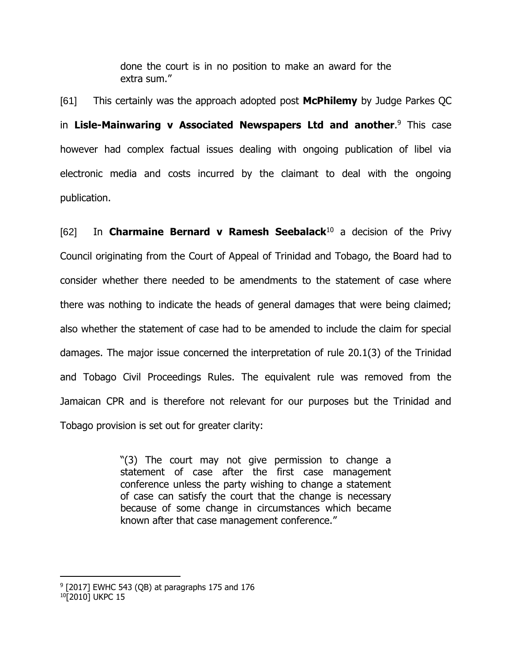done the court is in no position to make an award for the extra sum."

[61] This certainly was the approach adopted post **McPhilemy** by Judge Parkes QC in **Lisle-Mainwaring v Associated Newspapers Ltd and another**. <sup>9</sup> This case however had complex factual issues dealing with ongoing publication of libel via electronic media and costs incurred by the claimant to deal with the ongoing publication.

[62] In **Charmaine Bernard v Ramesh Seebalack**<sup>10</sup> a decision of the Privy Council originating from the Court of Appeal of Trinidad and Tobago, the Board had to consider whether there needed to be amendments to the statement of case where there was nothing to indicate the heads of general damages that were being claimed; also whether the statement of case had to be amended to include the claim for special damages. The major issue concerned the interpretation of rule 20.1(3) of the Trinidad and Tobago Civil Proceedings Rules. The equivalent rule was removed from the Jamaican CPR and is therefore not relevant for our purposes but the Trinidad and Tobago provision is set out for greater clarity:

> "(3) The court may not give permission to change a statement of case after the first case management conference unless the party wishing to change a statement of case can satisfy the court that the change is necessary because of some change in circumstances which became known after that case management conference."

 $9$  [2017] EWHC 543 (QB) at paragraphs 175 and 176 <sup>10</sup>[2010] UKPC 15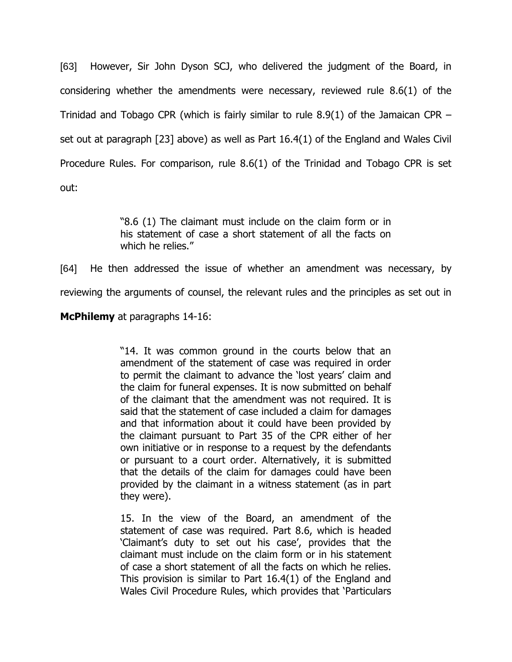[63] However, Sir John Dyson SCJ, who delivered the judgment of the Board, in considering whether the amendments were necessary, reviewed rule 8.6(1) of the Trinidad and Tobago CPR (which is fairly similar to rule 8.9(1) of the Jamaican CPR – set out at paragraph [23] above) as well as Part 16.4(1) of the England and Wales Civil Procedure Rules. For comparison, rule 8.6(1) of the Trinidad and Tobago CPR is set out:

> "8.6 (1) The claimant must include on the claim form or in his statement of case a short statement of all the facts on which he relies."

[64] He then addressed the issue of whether an amendment was necessary, by reviewing the arguments of counsel, the relevant rules and the principles as set out in

**McPhilemy** at paragraphs 14-16:

"14. It was common ground in the courts below that an amendment of the statement of case was required in order to permit the claimant to advance the 'lost years' claim and the claim for funeral expenses. It is now submitted on behalf of the claimant that the amendment was not required. It is said that the statement of case included a claim for damages and that information about it could have been provided by the claimant pursuant to Part 35 of the CPR either of her own initiative or in response to a request by the defendants or pursuant to a court order. Alternatively, it is submitted that the details of the claim for damages could have been provided by the claimant in a witness statement (as in part they were).

15. In the view of the Board, an amendment of the statement of case was required. Part 8.6, which is headed 'Claimant's duty to set out his case', provides that the claimant must include on the claim form or in his statement of case a short statement of all the facts on which he relies. This provision is similar to Part 16.4(1) of the England and Wales Civil Procedure Rules, which provides that 'Particulars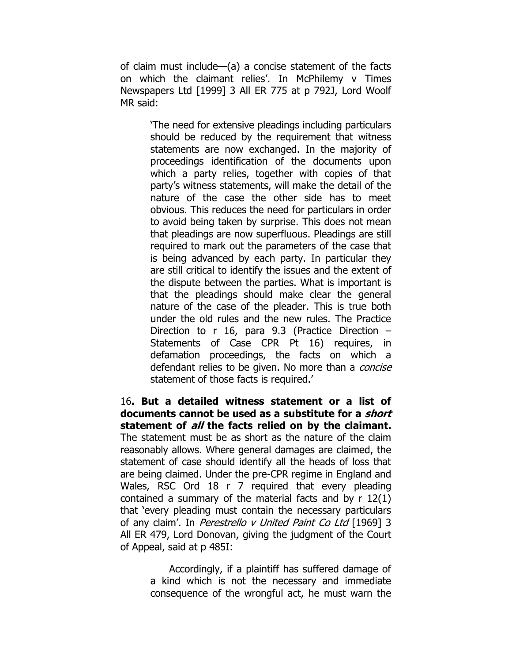of claim must include—(a) a concise statement of the facts on which the claimant relies'. In McPhilemy v Times Newspapers Ltd [1999] 3 All ER 775 at p 792J, Lord Woolf MR said:

> 'The need for extensive pleadings including particulars should be reduced by the requirement that witness statements are now exchanged. In the majority of proceedings identification of the documents upon which a party relies, together with copies of that party's witness statements, will make the detail of the nature of the case the other side has to meet obvious. This reduces the need for particulars in order to avoid being taken by surprise. This does not mean that pleadings are now superfluous. Pleadings are still required to mark out the parameters of the case that is being advanced by each party. In particular they are still critical to identify the issues and the extent of the dispute between the parties. What is important is that the pleadings should make clear the general nature of the case of the pleader. This is true both under the old rules and the new rules. The Practice Direction to r 16, para 9.3 (Practice Direction – Statements of Case CPR Pt 16) requires, in defamation proceedings, the facts on which a defendant relies to be given. No more than a *concise* statement of those facts is required.'

16**. But a detailed witness statement or a list of documents cannot be used as a substitute for a short statement of all the facts relied on by the claimant.** The statement must be as short as the nature of the claim reasonably allows. Where general damages are claimed, the statement of case should identify all the heads of loss that are being claimed. Under the pre-CPR regime in England and Wales, RSC Ord 18 r 7 required that every pleading contained a summary of the material facts and by r 12(1) that 'every pleading must contain the necessary particulars of any claim'. In *Perestrello v United Paint Co Ltd* [1969] 3 All ER 479, Lord Donovan, giving the judgment of the Court of Appeal, said at p 485I:

> Accordingly, if a plaintiff has suffered damage of a kind which is not the necessary and immediate consequence of the wrongful act, he must warn the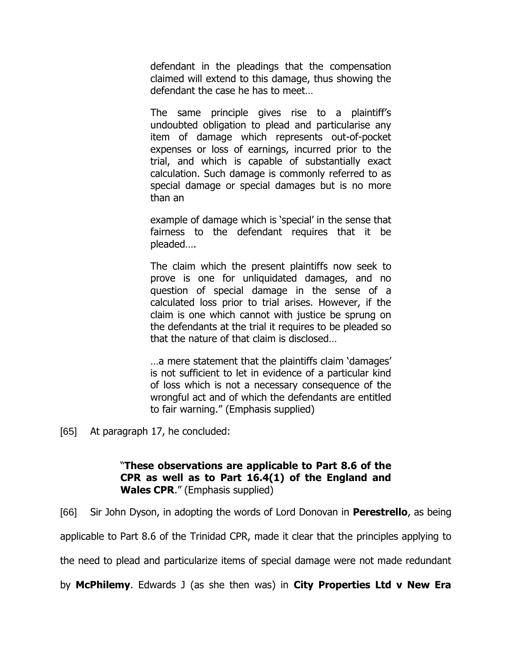defendant in the pleadings that the compensation claimed will extend to this damage, thus showing the defendant the case he has to meet…

The same principle gives rise to a plaintiff's undoubted obligation to plead and particularise any item of damage which represents out-of-pocket expenses or loss of earnings, incurred prior to the trial, and which is capable of substantially exact calculation. Such damage is commonly referred to as special damage or special damages but is no more than an

example of damage which is 'special' in the sense that fairness to the defendant requires that it be pleaded….

The claim which the present plaintiffs now seek to prove is one for unliquidated damages, and no question of special damage in the sense of a calculated loss prior to trial arises. However, if the claim is one which cannot with justice be sprung on the defendants at the trial it requires to be pleaded so that the nature of that claim is disclosed…

…a mere statement that the plaintiffs claim 'damages' is not sufficient to let in evidence of a particular kind of loss which is not a necessary consequence of the wrongful act and of which the defendants are entitled to fair warning." (Emphasis supplied)

[65] At paragraph 17, he concluded:

## "**These observations are applicable to Part 8.6 of the CPR as well as to Part 16.4(1) of the England and Wales CPR**." (Emphasis supplied)

[66] Sir John Dyson, in adopting the words of Lord Donovan in **Perestrello**, as being

applicable to Part 8.6 of the Trinidad CPR, made it clear that the principles applying to

the need to plead and particularize items of special damage were not made redundant

by **McPhilemy**. Edwards J (as she then was) in **City Properties Ltd v New Era**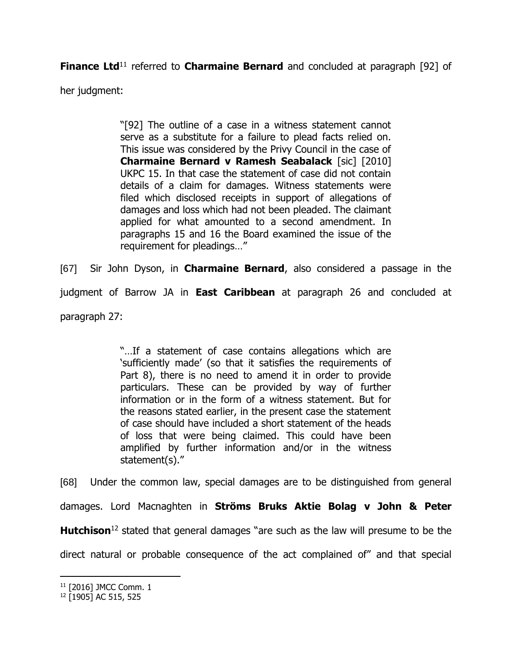**Finance Ltd**<sup>11</sup> referred to **Charmaine Bernard** and concluded at paragraph [92] of

her judgment:

"[92] The outline of a case in a witness statement cannot serve as a substitute for a failure to plead facts relied on. This issue was considered by the Privy Council in the case of **Charmaine Bernard v Ramesh Seabalack** [sic] [2010] UKPC 15. In that case the statement of case did not contain details of a claim for damages. Witness statements were filed which disclosed receipts in support of allegations of damages and loss which had not been pleaded. The claimant applied for what amounted to a second amendment. In paragraphs 15 and 16 the Board examined the issue of the requirement for pleadings…"

[67] Sir John Dyson, in **Charmaine Bernard**, also considered a passage in the judgment of Barrow JA in **East Caribbean** at paragraph 26 and concluded at paragraph 27:

> "…If a statement of case contains allegations which are 'sufficiently made' (so that it satisfies the requirements of Part 8), there is no need to amend it in order to provide particulars. These can be provided by way of further information or in the form of a witness statement. But for the reasons stated earlier, in the present case the statement of case should have included a short statement of the heads of loss that were being claimed. This could have been amplified by further information and/or in the witness statement(s)."

[68] Under the common law, special damages are to be distinguished from general

damages. Lord Macnaghten in **Ströms Bruks Aktie Bolag v John & Peter** 

**Hutchison**<sup>12</sup> stated that general damages "are such as the law will presume to be the

direct natural or probable consequence of the act complained of" and that special

<sup>11</sup> [2016] JMCC Comm. 1

<sup>12</sup> [1905] AC 515, 525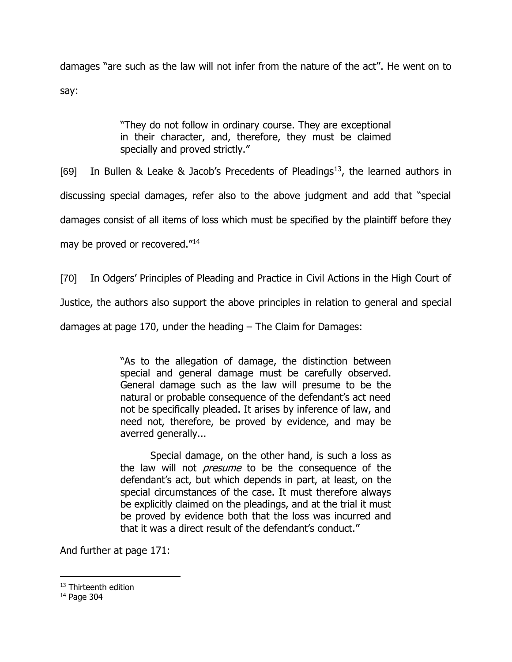damages "are such as the law will not infer from the nature of the act''. He went on to say:

> "They do not follow in ordinary course. They are exceptional in their character, and, therefore, they must be claimed specially and proved strictly."

[69] In Bullen & Leake & Jacob's Precedents of Pleadings<sup>13</sup>, the learned authors in

discussing special damages, refer also to the above judgment and add that "special

damages consist of all items of loss which must be specified by the plaintiff before they

may be proved or recovered."<sup>14</sup>

[70] In Odgers' Principles of Pleading and Practice in Civil Actions in the High Court of

Justice, the authors also support the above principles in relation to general and special

damages at page 170, under the heading – The Claim for Damages:

"As to the allegation of damage, the distinction between special and general damage must be carefully observed. General damage such as the law will presume to be the natural or probable consequence of the defendant's act need not be specifically pleaded. It arises by inference of law, and need not, therefore, be proved by evidence, and may be averred generally...

Special damage, on the other hand, is such a loss as the law will not *presume* to be the consequence of the defendant's act, but which depends in part, at least, on the special circumstances of the case. It must therefore always be explicitly claimed on the pleadings, and at the trial it must be proved by evidence both that the loss was incurred and that it was a direct result of the defendant's conduct.''

And further at page 171:

<sup>&</sup>lt;sup>13</sup> Thirteenth edition

<sup>14</sup> Page 304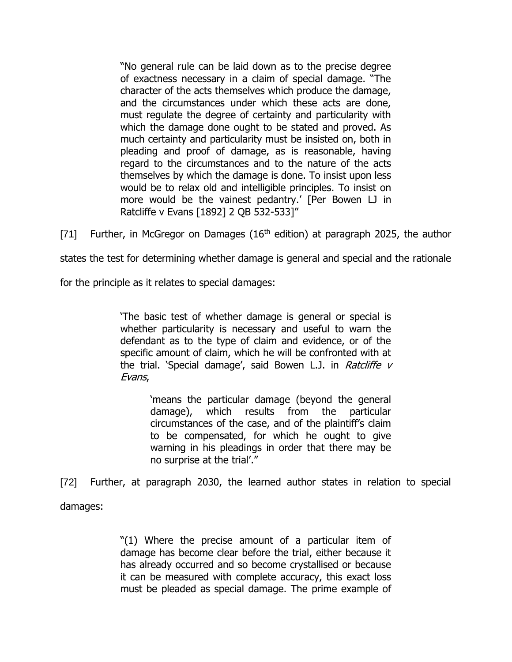"No general rule can be laid down as to the precise degree of exactness necessary in a claim of special damage. "The character of the acts themselves which produce the damage, and the circumstances under which these acts are done, must regulate the degree of certainty and particularity with which the damage done ought to be stated and proved. As much certainty and particularity must be insisted on, both in pleading and proof of damage, as is reasonable, having regard to the circumstances and to the nature of the acts themselves by which the damage is done. To insist upon less would be to relax old and intelligible principles. To insist on more would be the vainest pedantry.' [Per Bowen LJ in Ratcliffe v Evans [1892] 2 QB 532-533]"

[71] Further, in McGregor on Damages  $(16<sup>th</sup>$  edition) at paragraph 2025, the author

states the test for determining whether damage is general and special and the rationale

for the principle as it relates to special damages:

'The basic test of whether damage is general or special is whether particularity is necessary and useful to warn the defendant as to the type of claim and evidence, or of the specific amount of claim, which he will be confronted with at the trial. 'Special damage', said Bowen L.J. in Ratcliffe  $V$ Evans,

> 'means the particular damage (beyond the general damage), which results from the particular circumstances of the case, and of the plaintiff's claim to be compensated, for which he ought to give warning in his pleadings in order that there may be no surprise at the trial'."

[72] Further, at paragraph 2030, the learned author states in relation to special

damages:

"(1) Where the precise amount of a particular item of damage has become clear before the trial, either because it has already occurred and so become crystallised or because it can be measured with complete accuracy, this exact loss must be pleaded as special damage. The prime example of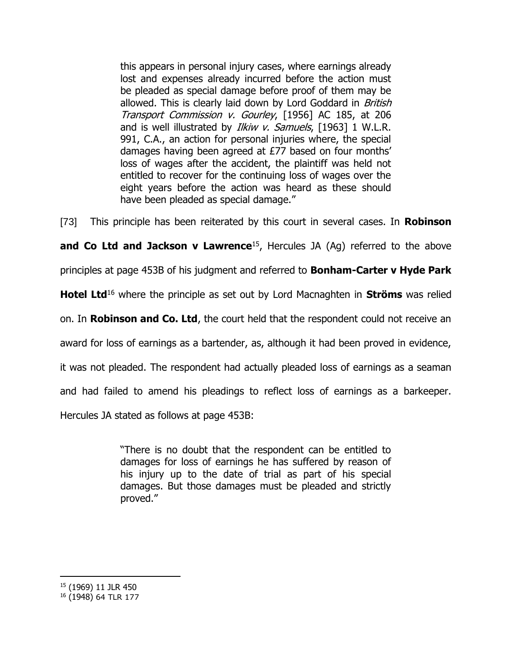this appears in personal injury cases, where earnings already lost and expenses already incurred before the action must be pleaded as special damage before proof of them may be allowed. This is clearly laid down by Lord Goddard in British Transport Commission v. Gourley, [1956] AC 185, at 206 and is well illustrated by *Ilkiw v. Samuels*, [1963] 1 W.L.R. 991, C.A., an action for personal injuries where, the special damages having been agreed at £77 based on four months' loss of wages after the accident, the plaintiff was held not entitled to recover for the continuing loss of wages over the eight years before the action was heard as these should have been pleaded as special damage."

[73] This principle has been reiterated by this court in several cases. In **Robinson** 

**and Co Ltd and Jackson v Lawrence**<sup>15</sup>, Hercules JA (Ag) referred to the above

principles at page 453B of his judgment and referred to **Bonham-Carter v Hyde Park** 

**Hotel Ltd**<sup>16</sup> where the principle as set out by Lord Macnaghten in **Ströms** was relied

on. In **Robinson and Co. Ltd**, the court held that the respondent could not receive an

award for loss of earnings as a bartender, as, although it had been proved in evidence,

it was not pleaded. The respondent had actually pleaded loss of earnings as a seaman

and had failed to amend his pleadings to reflect loss of earnings as a barkeeper.

Hercules JA stated as follows at page 453B:

"There is no doubt that the respondent can be entitled to damages for loss of earnings he has suffered by reason of his injury up to the date of trial as part of his special damages. But those damages must be pleaded and strictly proved."

 $\overline{a}$ <sup>15</sup> (1969) 11 JLR 450

<sup>16</sup> (1948) 64 TLR 177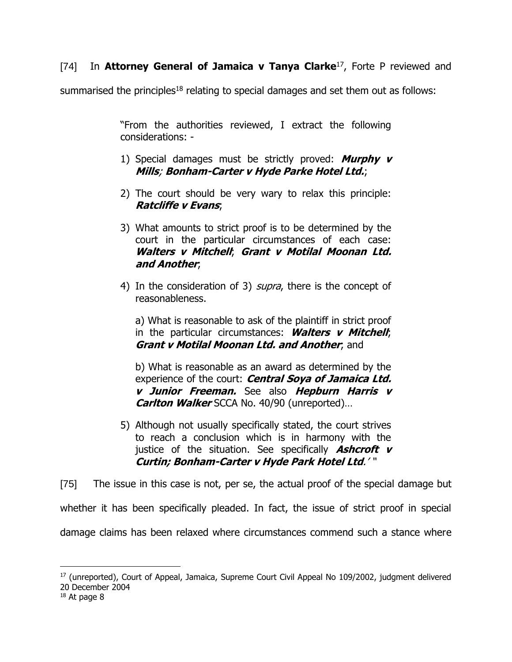# [74] In **Attorney General of Jamaica v Tanya Clarke**<sup>17</sup> , Forte P reviewed and

summarised the principles<sup>18</sup> relating to special damages and set them out as follows:

"From the authorities reviewed, I extract the following considerations: -

- 1) Special damages must be strictly proved: **Murphy v Mills**; **Bonham-Carter v Hyde Parke Hotel Ltd.**;
- 2) The court should be very wary to relax this principle: **Ratcliffe v Evans**;
- 3) What amounts to strict proof is to be determined by the court in the particular circumstances of each case: **Walters v Mitchell**; **Grant v Motilal Moonan Ltd. and Another**;
- 4) In the consideration of 3) *supra*, there is the concept of reasonableness.

a) What is reasonable to ask of the plaintiff in strict proof in the particular circumstances: **Walters v Mitchell**; **Grant v Motilal Moonan Ltd. and Another**; and

b) What is reasonable as an award as determined by the experience of the court: **Central Soya of Jamaica Ltd. v Junior Freeman.** See also **Hepburn Harris v Carlton Walker** SCCA No. 40/90 (unreported)…

5) Although not usually specifically stated, the court strives to reach a conclusion which is in harmony with the justice of the situation. See specifically **Ashcroft v Curtin; Bonham-Carter v Hyde Park Hotel Ltd**.' "

[75] The issue in this case is not, per se, the actual proof of the special damage but

whether it has been specifically pleaded. In fact, the issue of strict proof in special

damage claims has been relaxed where circumstances commend such a stance where

<sup>&</sup>lt;sup>17</sup> (unreported), Court of Appeal, Jamaica, Supreme Court Civil Appeal No 109/2002, judgment delivered 20 December 2004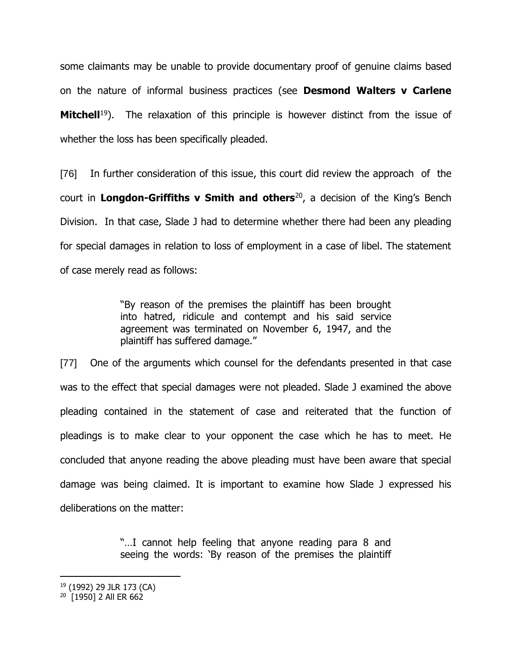some claimants may be unable to provide documentary proof of genuine claims based on the nature of informal business practices (see **Desmond Walters v Carlene Mitchell**<sup>19</sup>). The relaxation of this principle is however distinct from the issue of whether the loss has been specifically pleaded.

[76] In further consideration of this issue, this court did review the approach of the court in **Longdon-Griffiths v Smith and others**<sup>20</sup> , a decision of the King's Bench Division. In that case, Slade J had to determine whether there had been any pleading for special damages in relation to loss of employment in a case of libel. The statement of case merely read as follows:

> "By reason of the premises the plaintiff has been brought into hatred, ridicule and contempt and his said service agreement was terminated on November 6, 1947, and the plaintiff has suffered damage."

[77] One of the arguments which counsel for the defendants presented in that case was to the effect that special damages were not pleaded. Slade J examined the above pleading contained in the statement of case and reiterated that the function of pleadings is to make clear to your opponent the case which he has to meet. He concluded that anyone reading the above pleading must have been aware that special damage was being claimed. It is important to examine how Slade J expressed his deliberations on the matter:

> "…I cannot help feeling that anyone reading para 8 and seeing the words: 'By reason of the premises the plaintiff

<sup>19</sup> (1992) 29 JLR 173 (CA)

<sup>20</sup> [1950] 2 All ER 662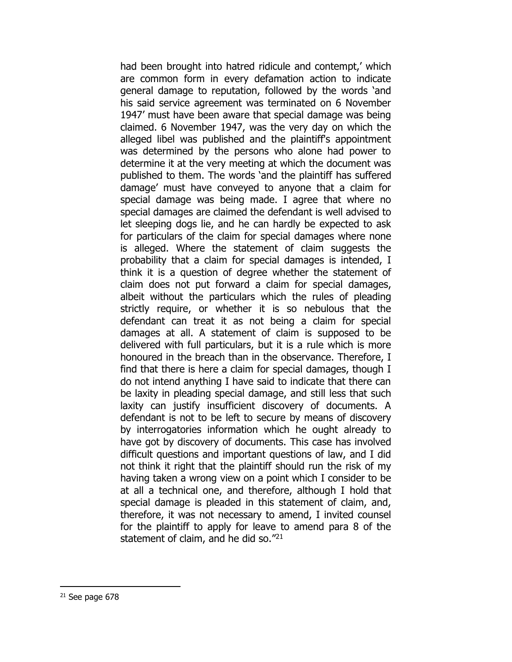had been brought into hatred ridicule and contempt,' which are common form in every defamation action to indicate general damage to reputation, followed by the words 'and his said service agreement was terminated on 6 November 1947' must have been aware that special damage was being claimed. 6 November 1947, was the very day on which the alleged libel was published and the plaintiff's appointment was determined by the persons who alone had power to determine it at the very meeting at which the document was published to them. The words 'and the plaintiff has suffered damage' must have conveyed to anyone that a claim for special damage was being made. I agree that where no special damages are claimed the defendant is well advised to let sleeping dogs lie, and he can hardly be expected to ask for particulars of the claim for special damages where none is alleged. Where the statement of claim suggests the probability that a claim for special damages is intended, I think it is a question of degree whether the statement of claim does not put forward a claim for special damages, albeit without the particulars which the rules of pleading strictly require, or whether it is so nebulous that the defendant can treat it as not being a claim for special damages at all. A statement of claim is supposed to be delivered with full particulars, but it is a rule which is more honoured in the breach than in the observance. Therefore, I find that there is here a claim for special damages, though I do not intend anything I have said to indicate that there can be laxity in pleading special damage, and still less that such laxity can justify insufficient discovery of documents. A defendant is not to be left to secure by means of discovery by interrogatories information which he ought already to have got by discovery of documents. This case has involved difficult questions and important questions of law, and I did not think it right that the plaintiff should run the risk of my having taken a wrong view on a point which I consider to be at all a technical one, and therefore, although I hold that special damage is pleaded in this statement of claim, and, therefore, it was not necessary to amend, I invited counsel for the plaintiff to apply for leave to amend para 8 of the statement of claim, and he did so."<sup>21</sup>

 $21$  See page 678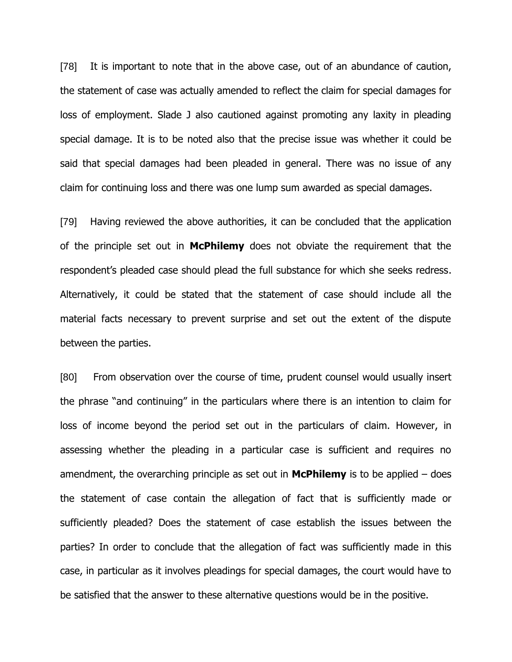[78] It is important to note that in the above case, out of an abundance of caution, the statement of case was actually amended to reflect the claim for special damages for loss of employment. Slade J also cautioned against promoting any laxity in pleading special damage. It is to be noted also that the precise issue was whether it could be said that special damages had been pleaded in general. There was no issue of any claim for continuing loss and there was one lump sum awarded as special damages.

[79] Having reviewed the above authorities, it can be concluded that the application of the principle set out in **McPhilemy** does not obviate the requirement that the respondent's pleaded case should plead the full substance for which she seeks redress. Alternatively, it could be stated that the statement of case should include all the material facts necessary to prevent surprise and set out the extent of the dispute between the parties.

[80] From observation over the course of time, prudent counsel would usually insert the phrase "and continuing" in the particulars where there is an intention to claim for loss of income beyond the period set out in the particulars of claim. However, in assessing whether the pleading in a particular case is sufficient and requires no amendment, the overarching principle as set out in **McPhilemy** is to be applied – does the statement of case contain the allegation of fact that is sufficiently made or sufficiently pleaded? Does the statement of case establish the issues between the parties? In order to conclude that the allegation of fact was sufficiently made in this case, in particular as it involves pleadings for special damages, the court would have to be satisfied that the answer to these alternative questions would be in the positive.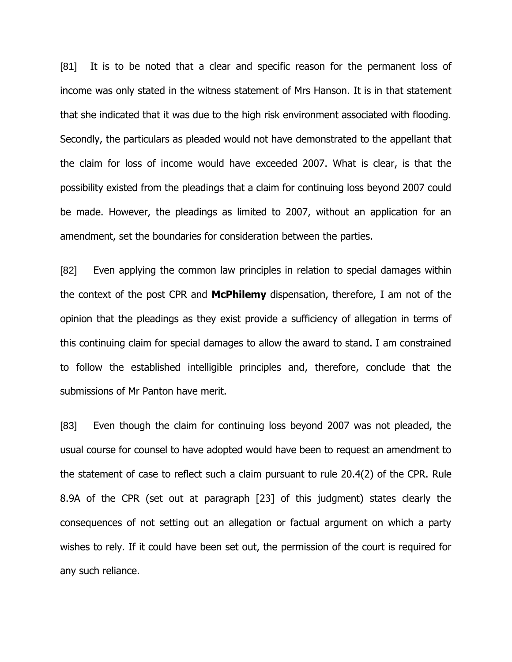[81] It is to be noted that a clear and specific reason for the permanent loss of income was only stated in the witness statement of Mrs Hanson. It is in that statement that she indicated that it was due to the high risk environment associated with flooding. Secondly, the particulars as pleaded would not have demonstrated to the appellant that the claim for loss of income would have exceeded 2007. What is clear, is that the possibility existed from the pleadings that a claim for continuing loss beyond 2007 could be made. However, the pleadings as limited to 2007, without an application for an amendment, set the boundaries for consideration between the parties.

[82] Even applying the common law principles in relation to special damages within the context of the post CPR and **McPhilemy** dispensation, therefore, I am not of the opinion that the pleadings as they exist provide a sufficiency of allegation in terms of this continuing claim for special damages to allow the award to stand. I am constrained to follow the established intelligible principles and, therefore, conclude that the submissions of Mr Panton have merit.

[83] Even though the claim for continuing loss beyond 2007 was not pleaded, the usual course for counsel to have adopted would have been to request an amendment to the statement of case to reflect such a claim pursuant to rule 20.4(2) of the CPR. Rule 8.9A of the CPR (set out at paragraph [23] of this judgment) states clearly the consequences of not setting out an allegation or factual argument on which a party wishes to rely. If it could have been set out, the permission of the court is required for any such reliance.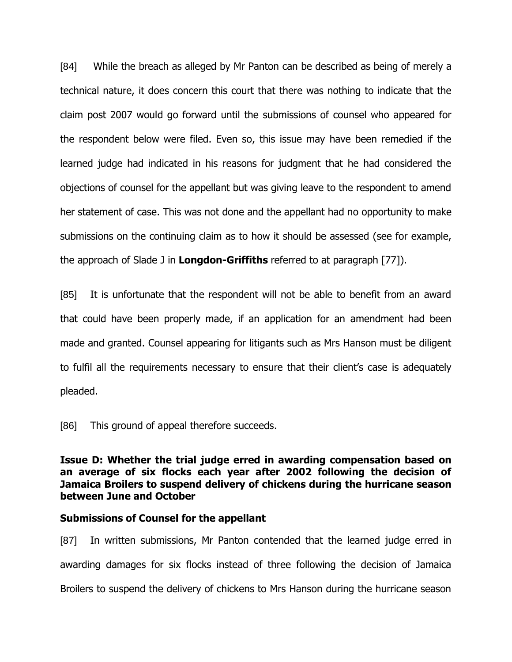[84] While the breach as alleged by Mr Panton can be described as being of merely a technical nature, it does concern this court that there was nothing to indicate that the claim post 2007 would go forward until the submissions of counsel who appeared for the respondent below were filed. Even so, this issue may have been remedied if the learned judge had indicated in his reasons for judgment that he had considered the objections of counsel for the appellant but was giving leave to the respondent to amend her statement of case. This was not done and the appellant had no opportunity to make submissions on the continuing claim as to how it should be assessed (see for example, the approach of Slade J in **Longdon-Griffiths** referred to at paragraph [77]).

[85] It is unfortunate that the respondent will not be able to benefit from an award that could have been properly made, if an application for an amendment had been made and granted. Counsel appearing for litigants such as Mrs Hanson must be diligent to fulfil all the requirements necessary to ensure that their client's case is adequately pleaded.

[86] This ground of appeal therefore succeeds.

**Issue D: Whether the trial judge erred in awarding compensation based on an average of six flocks each year after 2002 following the decision of Jamaica Broilers to suspend delivery of chickens during the hurricane season between June and October**

#### **Submissions of Counsel for the appellant**

[87] In written submissions, Mr Panton contended that the learned judge erred in awarding damages for six flocks instead of three following the decision of Jamaica Broilers to suspend the delivery of chickens to Mrs Hanson during the hurricane season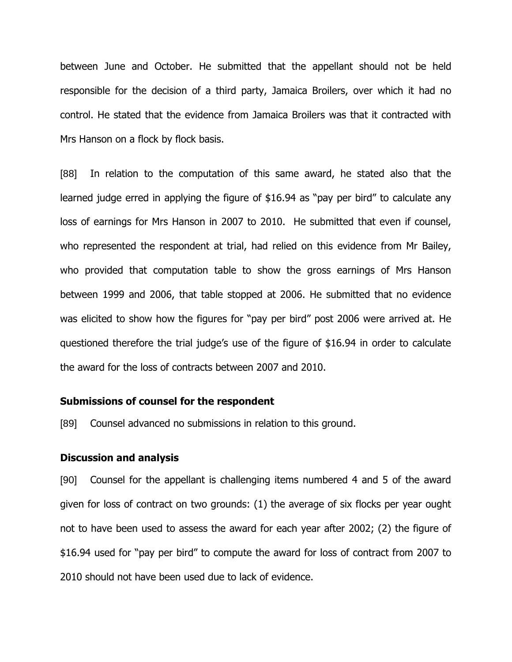between June and October. He submitted that the appellant should not be held responsible for the decision of a third party, Jamaica Broilers, over which it had no control. He stated that the evidence from Jamaica Broilers was that it contracted with Mrs Hanson on a flock by flock basis.

[88] In relation to the computation of this same award, he stated also that the learned judge erred in applying the figure of \$16.94 as "pay per bird" to calculate any loss of earnings for Mrs Hanson in 2007 to 2010. He submitted that even if counsel, who represented the respondent at trial, had relied on this evidence from Mr Bailey, who provided that computation table to show the gross earnings of Mrs Hanson between 1999 and 2006, that table stopped at 2006. He submitted that no evidence was elicited to show how the figures for "pay per bird" post 2006 were arrived at. He questioned therefore the trial judge's use of the figure of \$16.94 in order to calculate the award for the loss of contracts between 2007 and 2010.

#### **Submissions of counsel for the respondent**

[89] Counsel advanced no submissions in relation to this ground.

#### **Discussion and analysis**

[90] Counsel for the appellant is challenging items numbered 4 and 5 of the award given for loss of contract on two grounds: (1) the average of six flocks per year ought not to have been used to assess the award for each year after 2002; (2) the figure of \$16.94 used for "pay per bird" to compute the award for loss of contract from 2007 to 2010 should not have been used due to lack of evidence.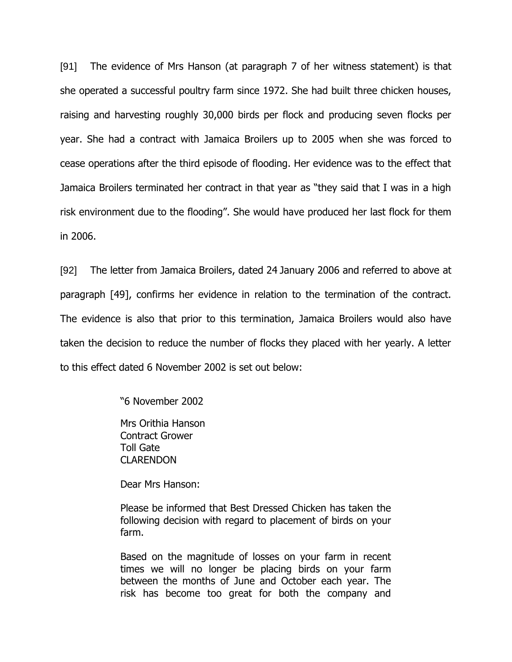[91] The evidence of Mrs Hanson (at paragraph 7 of her witness statement) is that she operated a successful poultry farm since 1972. She had built three chicken houses, raising and harvesting roughly 30,000 birds per flock and producing seven flocks per year. She had a contract with Jamaica Broilers up to 2005 when she was forced to cease operations after the third episode of flooding. Her evidence was to the effect that Jamaica Broilers terminated her contract in that year as "they said that I was in a high risk environment due to the flooding". She would have produced her last flock for them in 2006.

[92] The letter from Jamaica Broilers, dated 24 January 2006 and referred to above at paragraph [49], confirms her evidence in relation to the termination of the contract. The evidence is also that prior to this termination, Jamaica Broilers would also have taken the decision to reduce the number of flocks they placed with her yearly. A letter to this effect dated 6 November 2002 is set out below:

"6 November 2002

Mrs Orithia Hanson Contract Grower Toll Gate CLARENDON

Dear Mrs Hanson:

Please be informed that Best Dressed Chicken has taken the following decision with regard to placement of birds on your farm.

Based on the magnitude of losses on your farm in recent times we will no longer be placing birds on your farm between the months of June and October each year. The risk has become too great for both the company and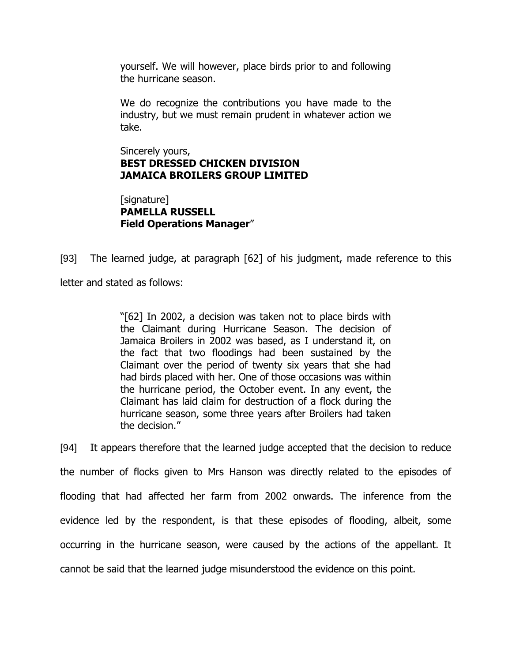yourself. We will however, place birds prior to and following the hurricane season.

We do recognize the contributions you have made to the industry, but we must remain prudent in whatever action we take.

Sincerely yours, **BEST DRESSED CHICKEN DIVISION JAMAICA BROILERS GROUP LIMITED** 

[signature] **PAMELLA RUSSELL Field Operations Manager**"

[93] The learned judge, at paragraph [62] of his judgment, made reference to this letter and stated as follows:

> "[62] In 2002, a decision was taken not to place birds with the Claimant during Hurricane Season. The decision of Jamaica Broilers in 2002 was based, as I understand it, on the fact that two floodings had been sustained by the Claimant over the period of twenty six years that she had had birds placed with her. One of those occasions was within the hurricane period, the October event. In any event, the Claimant has laid claim for destruction of a flock during the hurricane season, some three years after Broilers had taken the decision."

[94] It appears therefore that the learned judge accepted that the decision to reduce the number of flocks given to Mrs Hanson was directly related to the episodes of flooding that had affected her farm from 2002 onwards. The inference from the evidence led by the respondent, is that these episodes of flooding, albeit, some occurring in the hurricane season, were caused by the actions of the appellant. It cannot be said that the learned judge misunderstood the evidence on this point.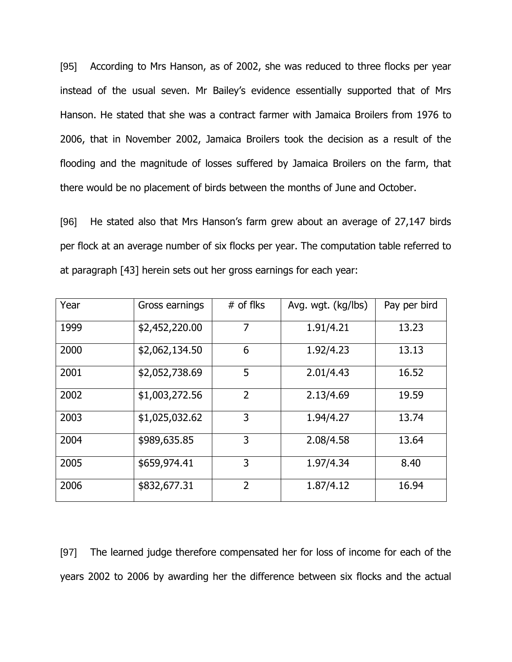[95] According to Mrs Hanson, as of 2002, she was reduced to three flocks per year instead of the usual seven. Mr Bailey's evidence essentially supported that of Mrs Hanson. He stated that she was a contract farmer with Jamaica Broilers from 1976 to 2006, that in November 2002, Jamaica Broilers took the decision as a result of the flooding and the magnitude of losses suffered by Jamaica Broilers on the farm, that there would be no placement of birds between the months of June and October.

[96] He stated also that Mrs Hanson's farm grew about an average of 27,147 birds per flock at an average number of six flocks per year. The computation table referred to at paragraph [43] herein sets out her gross earnings for each year:

| Year | Gross earnings | $#$ of flks    | Avg. wgt. (kg/lbs) | Pay per bird |
|------|----------------|----------------|--------------------|--------------|
| 1999 | \$2,452,220.00 | 7              | 1.91/4.21          | 13.23        |
| 2000 | \$2,062,134.50 | 6              | 1.92/4.23          | 13.13        |
| 2001 | \$2,052,738.69 | 5              | 2.01/4.43          | 16.52        |
| 2002 | \$1,003,272.56 | $\overline{2}$ | 2.13/4.69          | 19.59        |
| 2003 | \$1,025,032.62 | 3              | 1.94/4.27          | 13.74        |
| 2004 | \$989,635.85   | 3              | 2.08/4.58          | 13.64        |
| 2005 | \$659,974.41   | 3              | 1.97/4.34          | 8.40         |
| 2006 | \$832,677.31   | $\overline{2}$ | 1.87/4.12          | 16.94        |

[97] The learned judge therefore compensated her for loss of income for each of the years 2002 to 2006 by awarding her the difference between six flocks and the actual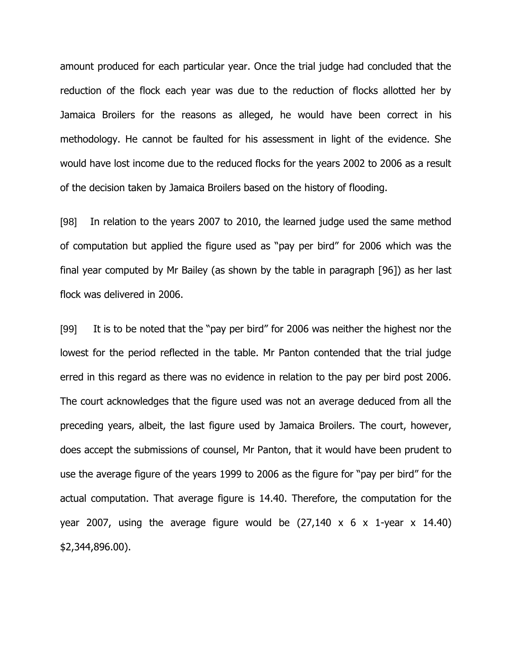amount produced for each particular year. Once the trial judge had concluded that the reduction of the flock each year was due to the reduction of flocks allotted her by Jamaica Broilers for the reasons as alleged, he would have been correct in his methodology. He cannot be faulted for his assessment in light of the evidence. She would have lost income due to the reduced flocks for the years 2002 to 2006 as a result of the decision taken by Jamaica Broilers based on the history of flooding.

[98] In relation to the years 2007 to 2010, the learned judge used the same method of computation but applied the figure used as "pay per bird" for 2006 which was the final year computed by Mr Bailey (as shown by the table in paragraph [96]) as her last flock was delivered in 2006.

[99] It is to be noted that the "pay per bird" for 2006 was neither the highest nor the lowest for the period reflected in the table. Mr Panton contended that the trial judge erred in this regard as there was no evidence in relation to the pay per bird post 2006. The court acknowledges that the figure used was not an average deduced from all the preceding years, albeit, the last figure used by Jamaica Broilers. The court, however, does accept the submissions of counsel, Mr Panton, that it would have been prudent to use the average figure of the years 1999 to 2006 as the figure for "pay per bird" for the actual computation. That average figure is 14.40. Therefore, the computation for the year 2007, using the average figure would be  $(27,140 \times 6 \times 1)$ -year  $\times$  14.40) \$2,344,896.00).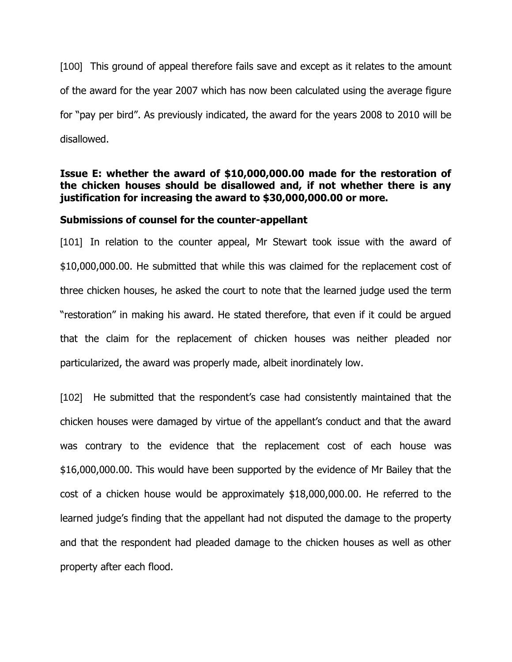[100] This ground of appeal therefore fails save and except as it relates to the amount of the award for the year 2007 which has now been calculated using the average figure for "pay per bird". As previously indicated, the award for the years 2008 to 2010 will be disallowed.

## **Issue E: whether the award of \$10,000,000.00 made for the restoration of the chicken houses should be disallowed and, if not whether there is any justification for increasing the award to \$30,000,000.00 or more.**

## **Submissions of counsel for the counter-appellant**

[101] In relation to the counter appeal, Mr Stewart took issue with the award of \$10,000,000.00. He submitted that while this was claimed for the replacement cost of three chicken houses, he asked the court to note that the learned judge used the term "restoration" in making his award. He stated therefore, that even if it could be argued that the claim for the replacement of chicken houses was neither pleaded nor particularized, the award was properly made, albeit inordinately low.

[102] He submitted that the respondent's case had consistently maintained that the chicken houses were damaged by virtue of the appellant's conduct and that the award was contrary to the evidence that the replacement cost of each house was \$16,000,000.00. This would have been supported by the evidence of Mr Bailey that the cost of a chicken house would be approximately \$18,000,000.00. He referred to the learned judge's finding that the appellant had not disputed the damage to the property and that the respondent had pleaded damage to the chicken houses as well as other property after each flood.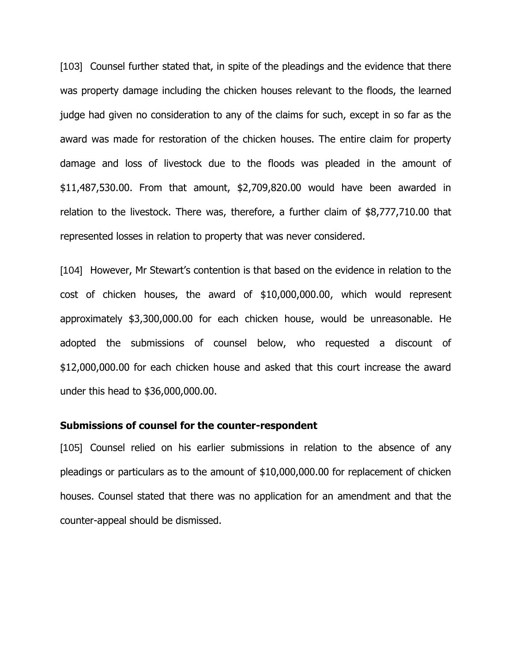[103] Counsel further stated that, in spite of the pleadings and the evidence that there was property damage including the chicken houses relevant to the floods, the learned judge had given no consideration to any of the claims for such, except in so far as the award was made for restoration of the chicken houses. The entire claim for property damage and loss of livestock due to the floods was pleaded in the amount of \$11,487,530.00. From that amount, \$2,709,820.00 would have been awarded in relation to the livestock. There was, therefore, a further claim of \$8,777,710.00 that represented losses in relation to property that was never considered.

[104] However, Mr Stewart's contention is that based on the evidence in relation to the cost of chicken houses, the award of \$10,000,000.00, which would represent approximately \$3,300,000.00 for each chicken house, would be unreasonable. He adopted the submissions of counsel below, who requested a discount of \$12,000,000.00 for each chicken house and asked that this court increase the award under this head to \$36,000,000.00.

#### **Submissions of counsel for the counter-respondent**

[105] Counsel relied on his earlier submissions in relation to the absence of any pleadings or particulars as to the amount of \$10,000,000.00 for replacement of chicken houses. Counsel stated that there was no application for an amendment and that the counter-appeal should be dismissed.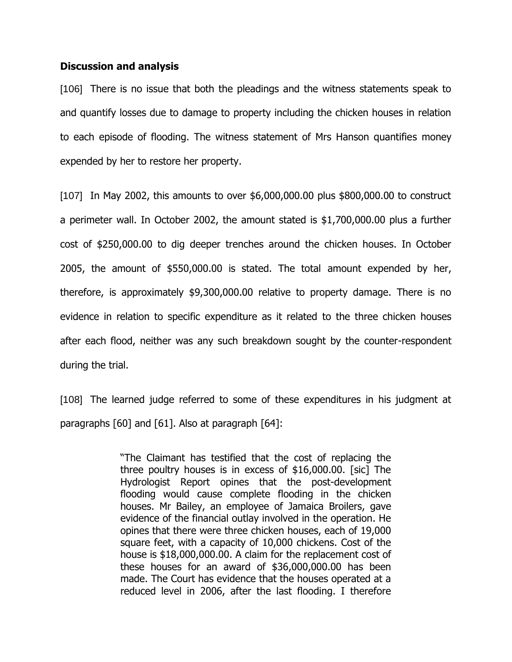#### **Discussion and analysis**

[106] There is no issue that both the pleadings and the witness statements speak to and quantify losses due to damage to property including the chicken houses in relation to each episode of flooding. The witness statement of Mrs Hanson quantifies money expended by her to restore her property.

[107] In May 2002, this amounts to over \$6,000,000.00 plus \$800,000.00 to construct a perimeter wall. In October 2002, the amount stated is \$1,700,000.00 plus a further cost of \$250,000.00 to dig deeper trenches around the chicken houses. In October 2005, the amount of \$550,000.00 is stated. The total amount expended by her, therefore, is approximately \$9,300,000.00 relative to property damage. There is no evidence in relation to specific expenditure as it related to the three chicken houses after each flood, neither was any such breakdown sought by the counter-respondent during the trial.

[108] The learned judge referred to some of these expenditures in his judgment at paragraphs [60] and [61]. Also at paragraph [64]:

> "The Claimant has testified that the cost of replacing the three poultry houses is in excess of \$16,000.00. [sic] The Hydrologist Report opines that the post-development flooding would cause complete flooding in the chicken houses. Mr Bailey, an employee of Jamaica Broilers, gave evidence of the financial outlay involved in the operation. He opines that there were three chicken houses, each of 19,000 square feet, with a capacity of 10,000 chickens. Cost of the house is \$18,000,000.00. A claim for the replacement cost of these houses for an award of \$36,000,000.00 has been made. The Court has evidence that the houses operated at a reduced level in 2006, after the last flooding. I therefore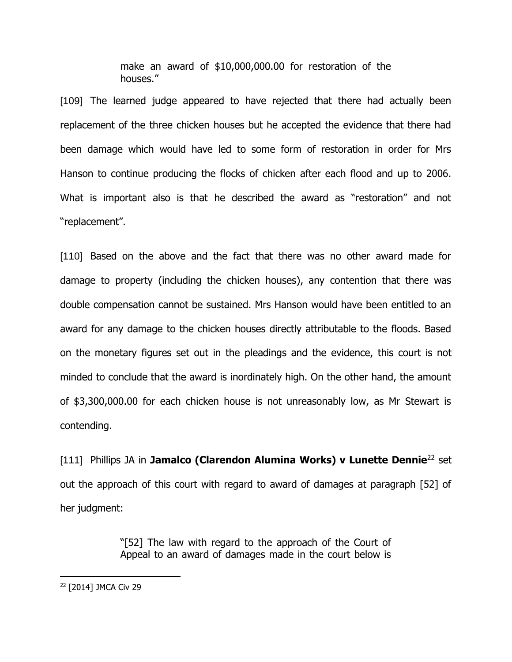make an award of \$10,000,000.00 for restoration of the houses."

[109] The learned judge appeared to have rejected that there had actually been replacement of the three chicken houses but he accepted the evidence that there had been damage which would have led to some form of restoration in order for Mrs Hanson to continue producing the flocks of chicken after each flood and up to 2006. What is important also is that he described the award as "restoration" and not "replacement".

[110] Based on the above and the fact that there was no other award made for damage to property (including the chicken houses), any contention that there was double compensation cannot be sustained. Mrs Hanson would have been entitled to an award for any damage to the chicken houses directly attributable to the floods. Based on the monetary figures set out in the pleadings and the evidence, this court is not minded to conclude that the award is inordinately high. On the other hand, the amount of \$3,300,000.00 for each chicken house is not unreasonably low, as Mr Stewart is contending.

[111] Phillips JA in **Jamalco (Clarendon Alumina Works) v Lunette Dennie**<sup>22</sup> set out the approach of this court with regard to award of damages at paragraph [52] of her judgment:

> "[52] The law with regard to the approach of the Court of Appeal to an award of damages made in the court below is

<sup>22</sup> [2014] JMCA Civ 29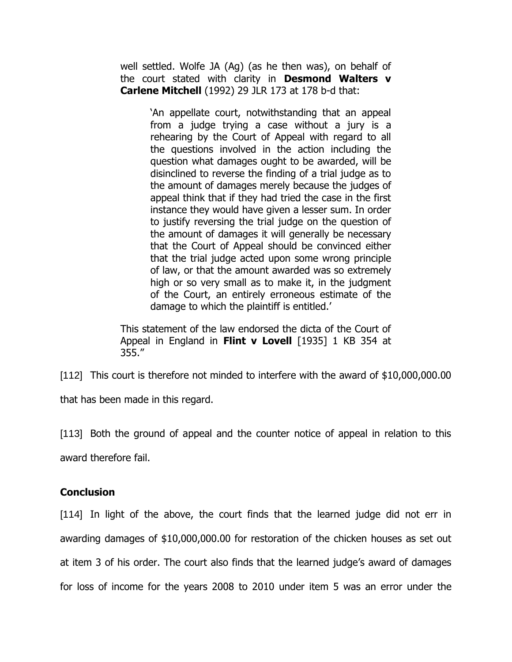well settled. Wolfe JA (Ag) (as he then was), on behalf of the court stated with clarity in **Desmond Walters v Carlene Mitchell** (1992) 29 JLR 173 at 178 b-d that:

> 'An appellate court, notwithstanding that an appeal from a judge trying a case without a jury is a rehearing by the Court of Appeal with regard to all the questions involved in the action including the question what damages ought to be awarded, will be disinclined to reverse the finding of a trial judge as to the amount of damages merely because the judges of appeal think that if they had tried the case in the first instance they would have given a lesser sum. In order to justify reversing the trial judge on the question of the amount of damages it will generally be necessary that the Court of Appeal should be convinced either that the trial judge acted upon some wrong principle of law, or that the amount awarded was so extremely high or so very small as to make it, in the judgment of the Court, an entirely erroneous estimate of the damage to which the plaintiff is entitled.'

This statement of the law endorsed the dicta of the Court of Appeal in England in **Flint v Lovell** [1935] 1 KB 354 at 355."

[112] This court is therefore not minded to interfere with the award of \$10,000,000.00

that has been made in this regard.

[113] Both the ground of appeal and the counter notice of appeal in relation to this award therefore fail.

## **Conclusion**

[114] In light of the above, the court finds that the learned judge did not err in awarding damages of \$10,000,000.00 for restoration of the chicken houses as set out at item 3 of his order. The court also finds that the learned judge's award of damages for loss of income for the years 2008 to 2010 under item 5 was an error under the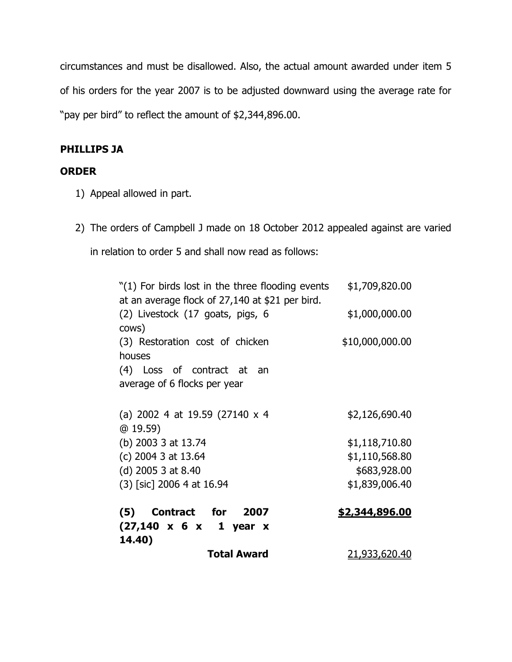circumstances and must be disallowed. Also, the actual amount awarded under item 5 of his orders for the year 2007 is to be adjusted downward using the average rate for "pay per bird" to reflect the amount of \$2,344,896.00.

# **PHILLIPS JA**

# **ORDER**

- 1) Appeal allowed in part.
- 2) The orders of Campbell J made on 18 October 2012 appealed against are varied

in relation to order 5 and shall now read as follows:

"(1) For birds lost in the three flooding events at an average flock of 27,140 at \$21 per bird. \$1,709,820.00 (2) Livestock (17 goats, pigs, 6 cows) \$1,000,000.00 (3) Restoration cost of chicken houses \$10,000,000.00 (4) Loss of contract at an average of 6 flocks per year (a) 2002 4 at 19.59 (27140 x 4 @ 19.59) \$2,126,690.40 (b) 2003 3 at 13.74 \$1,118,710.80 (c) 2004 3 at 13.64 \$1,110,568.80 (d) 2005 3 at 8.40 \$683,928.00 (3) [sic] 2006 4 at 16.94 \$1,839,006.40 **(5) Contract for 2007 (27,140 x 6 x 1 year x 14.40) \$2,344,896.00 Total Award** 21,933,620.40